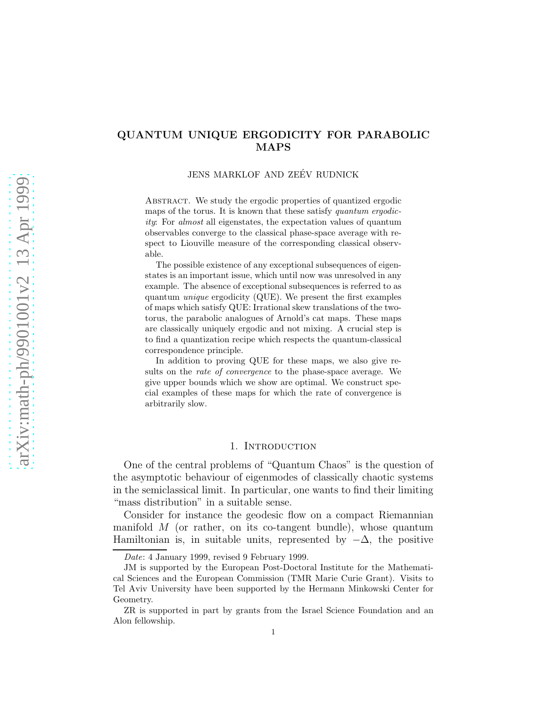## QUANTUM UNIQUE ERGODICITY FOR PARABOLIC MAPS

JENS MARKLOF AND ZEÉV RUDNICK

ABSTRACT. We study the ergodic properties of quantized ergodic maps of the torus. It is known that these satisfy *quantum ergodicity*: For *almost* all eigenstates, the expectation values of quantum observables converge to the classical phase-space average with respect to Liouville measure of the corresponding classical observable.

The possible existence of any exceptional subsequences of eigenstates is an important issue, which until now was unresolved in any example. The absence of exceptional subsequences is referred to as quantum *unique* ergodicity (QUE). We present the first examples of maps which satisfy QUE: Irrational skew translations of the twotorus, the parabolic analogues of Arnold's cat maps. These maps are classically uniquely ergodic and not mixing. A crucial step is to find a quantization recipe which respects the quantum-classical correspondence principle.

In addition to proving QUE for these maps, we also give results on the *rate of convergence* to the phase-space average. We give upper bounds which we show are optimal. We construct special examples of these maps for which the rate of convergence is arbitrarily slow.

### 1. INTRODUCTION

One of the central problems of "Quantum Chaos" is the question of the asymptotic behaviour of eigenmodes of classically chaotic systems in the semiclassical limit. In particular, one wants to find their limiting "mass distribution" in a suitable sense.

Consider for instance the geodesic flow on a compact Riemannian manifold  $M$  (or rather, on its co-tangent bundle), whose quantum Hamiltonian is, in suitable units, represented by  $-\Delta$ , the positive

*Date*: 4 January 1999, revised 9 February 1999.

JM is supported by the European Post-Doctoral Institute for the Mathematical Sciences and the European Commission (TMR Marie Curie Grant). Visits to Tel Aviv University have been supported by the Hermann Minkowski Center for Geometry.

ZR is supported in part by grants from the Israel Science Foundation and an Alon fellowship.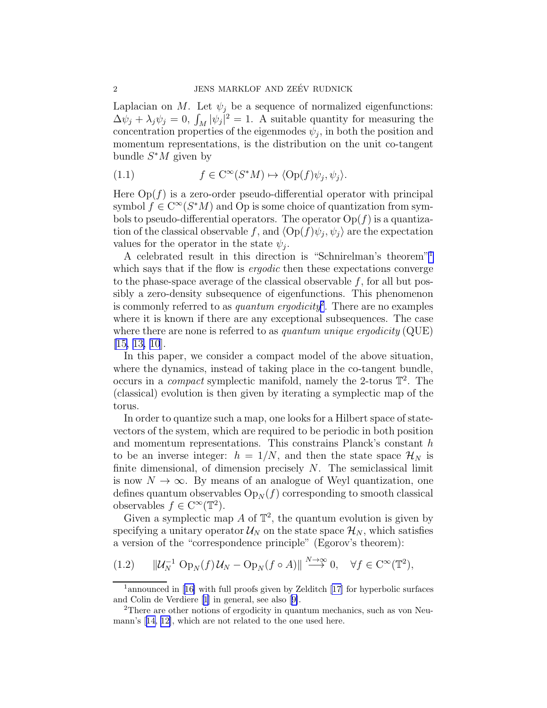<span id="page-1-0"></span>Laplacian on M. Let  $\psi_j$  be a sequence of normalized eigenfunctions:  $\Delta \psi_j + \lambda_j \psi_j = 0$ ,  $\int_M |\psi_j|^2 = 1$ . A suitable quantity for measuring the concentration properties of the eigenmodes  $\psi_j$ , in both the position and momentum representations, is the distribution on the unit co-tangent bundle  $S^*M$  given by

(1.1) 
$$
f \in C^{\infty}(S^*M) \mapsto \langle \text{Op}(f)\psi_j, \psi_j \rangle.
$$

Here  $Op(f)$  is a zero-order pseudo-differential operator with principal symbol  $f \in C^{\infty}(S^*M)$  and Op is some choice of quantization from symbols to pseudo-differential operators. The operator  $Op(f)$  is a quantization of the classical observable f, and  $\langle \text{Op}(f)\psi_j, \psi_j \rangle$  are the expectation values for the operator in the state  $\psi_j$ .

A celebrated result in this direction is "Schnirelman's theorem"<sup>1</sup> which says that if the flow is *ergodic* then these expectations converge to the phase-space average of the classical observable  $f$ , for all but possibly a zero-density subsequence of eigenfunctions. This phenomenon is commonly referred to as *quantum ergodicity*<sup>2</sup> . There are no examples where it is known if there are any exceptional subsequences. The case where there are none is referred to as *quantum unique ergodicity* (QUE) [[15, 13, 10](#page-28-0)].

In this paper, we consider a compact model of the above situation, where the dynamics, instead of taking place in the co-tangent bundle, occurs in a *compact* symplectic manifold, namely the 2-torus T 2 . The (classical) evolution is then given by iterating a symplectic map of the torus.

In order to quantize such a map, one looks for a Hilbert space of statevectors of the system, which are required to be periodic in both position and momentum representations. This constrains Planck's constant h to be an inverse integer:  $h = 1/N$ , and then the state space  $\mathcal{H}_N$  is finite dimensional, of dimension precisely  $N$ . The semiclassical limit is now  $N \to \infty$ . By means of an analogue of Weyl quantization, one defines quantum observables  $Op_N(f)$  corresponding to smooth classical observables  $f \in C^{\infty}(\mathbb{T}^2)$ .

Given a symplectic map  $A$  of  $\mathbb{T}^2$ , the quantum evolution is given by specifying a unitary operator  $\mathcal{U}_N$  on the state space  $\mathcal{H}_N$ , which satisfies a version of the "correspondence principle" (Egorov's theorem):

$$
(1.2) \qquad \|\mathcal{U}_N^{-1} \operatorname{Op}_N(f)\mathcal{U}_N - \operatorname{Op}_N(f \circ A)\| \xrightarrow{N \to \infty} 0, \quad \forall f \in C^\infty(\mathbb{T}^2),
$$

<sup>&</sup>lt;sup>1</sup>announcedin [[16\]](#page-28-0) with full proofs given by Zelditch [[17\]](#page-28-0) for hyperbolic surfaces and Colin de Verdiere[[1](#page-28-0)] in general, see also[[9\]](#page-28-0).

<sup>2</sup>There are other notions of ergodicity in quantum mechanics, such as von Neumann's[[14, 12\]](#page-28-0), which are not related to the one used here.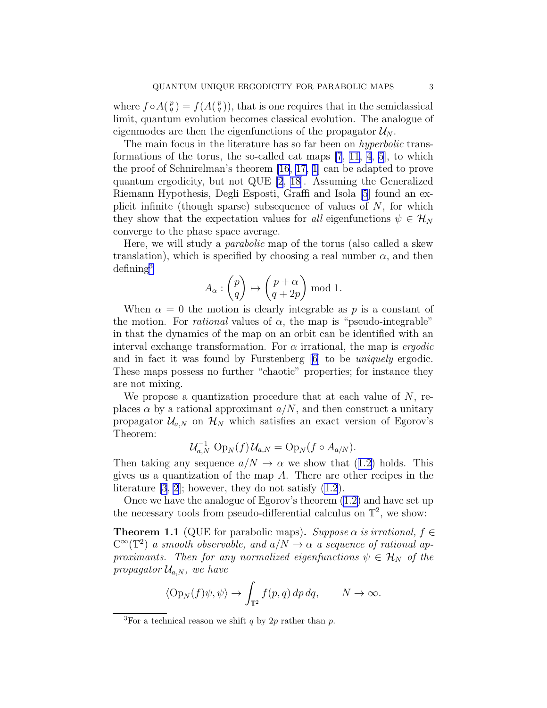<span id="page-2-0"></span>where  $f \circ A(\frac{p}{q}) = f(A(\frac{p}{q}))$ , that is one requires that in the semiclassical limit, quantum evolution becomes classical evolution. The analogue of eigenmodes are then the eigenfunctions of the propagator  $\mathcal{U}_N$ .

The main focus in the literature has so far been on *hyperbolic* transformations of the torus, the so-called cat maps [\[7](#page-28-0), [11, 4](#page-28-0), [5\]](#page-28-0), to which the proof of Schnirelman's theorem [\[16](#page-28-0), [17, 1\]](#page-28-0) can be adapted to prove quantum ergodicity, but not QUE [\[2](#page-28-0), [18\]](#page-28-0). Assuming the Generalized Riemann Hypothesis, Degli Esposti, Graffi and Isola [\[5](#page-28-0)] found an explicit infinite (though sparse) subsequence of values of  $N$ , for which they show that the expectation values for *all* eigenfunctions  $\psi \in \mathcal{H}_N$ converge to the phase space average.

Here, we will study a *parabolic* map of the torus (also called a skew translation), which is specified by choosing a real number  $\alpha$ , and then  $defining<sup>3</sup>$ 

$$
A_{\alpha}: \begin{pmatrix} p \\ q \end{pmatrix} \mapsto \begin{pmatrix} p + \alpha \\ q + 2p \end{pmatrix} \bmod 1.
$$

When  $\alpha = 0$  the motion is clearly integrable as p is a constant of the motion. For *rational* values of  $\alpha$ , the map is "pseudo-integrable" in that the dynamics of the map on an orbit can be identified with an interval exchange transformation. For  $\alpha$  irrational, the map is *ergodic* and in fact it was found by Furstenberg[[6\]](#page-28-0) to be *uniquely* ergodic. These maps possess no further "chaotic" properties; for instance they are not mixing.

We propose a quantization procedure that at each value of  $N$ , replaces  $\alpha$  by a rational approximant  $a/N$ , and then construct a unitary propagator  $\mathcal{U}_{a,N}$  on  $\mathcal{H}_N$  which satisfies an exact version of Egorov's Theorem:

$$
\mathcal{U}_{a,N}^{-1} \operatorname{Op}_N(f) \mathcal{U}_{a,N} = \operatorname{Op}_N(f \circ A_{a/N}).
$$

Thentaking any sequence  $a/N \to \alpha$  we show that ([1.2\)](#page-1-0) holds. This gives us a quantization of the map A. There are other recipes in the literature  $[3, 2]$  $[3, 2]$  $[3, 2]$ ; however, they do not satisfy  $(1.2)$ .

Once we have the analogue of Egorov's theorem([1.2\)](#page-1-0) and have set up the necessary tools from pseudo-differential calculus on  $\mathbb{T}^2$ , we show:

**Theorem 1.1** (QUE for parabolic maps). *Suppose*  $\alpha$  *is irrational,*  $f \in$  $C^{\infty}(\mathbb{T}^2)$  *a smooth observable, and*  $a/N \rightarrow \alpha$  *a sequence of rational approximants. Then for any normalized eigenfunctions*  $\psi \in \mathcal{H}_N$  *of the propagator*  $\mathcal{U}_{a,N}$ *, we have* 

$$
\langle \operatorname{Op}_N(f)\psi,\psi\rangle\to \int_{\mathbb{T}^2}f(p,q)\,dp\,dq,\qquad N\to\infty.
$$

<sup>&</sup>lt;sup>3</sup>For a technical reason we shift q by 2p rather than p.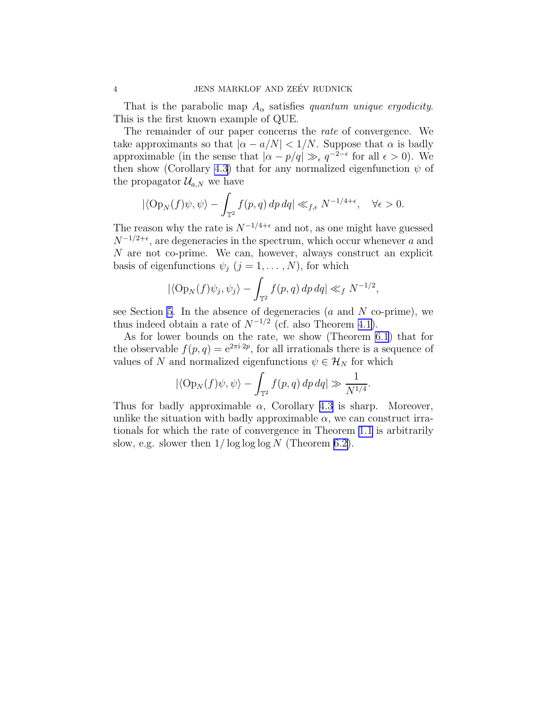That is the parabolic map  $A_{\alpha}$  satisfies *quantum unique ergodicity*. This is the first known example of QUE.

The remainder of our paper concerns the *rate* of convergence. We take approximants so that  $|\alpha - a/N| < 1/N$ . Suppose that  $\alpha$  is badly approximable (in the sense that  $|\alpha - p/q| \gg_{\epsilon} q^{-2-\epsilon}$  for all  $\epsilon > 0$ ). We then show (Corollary [4.3](#page-12-0)) that for any normalized eigenfunction  $\psi$  of the propagator  $\mathcal{U}_{a,N}$  we have

$$
|\langle \operatorname{Op}_N(f)\psi,\psi\rangle - \int_{\mathbb{T}^2} f(p,q) \, dp \, dq| \ll_{f,\epsilon} N^{-1/4+\epsilon}, \quad \forall \epsilon > 0.
$$

The reason why the rate is  $N^{-1/4+\epsilon}$  and not, as one might have guessed  $N^{-1/2+\epsilon}$ , are degeneracies in the spectrum, which occur whenever a and N are not co-prime. We can, however, always construct an explicit basis of eigenfunctions  $\psi_j$   $(j = 1, ..., N)$ , for which

$$
|\langle \operatorname{Op}_N(f)\psi_j, \psi_j \rangle - \int_{\mathbb{T}^2} f(p, q) \, dp \, dq| \ll_f N^{-1/2},
$$

see Section [5](#page-18-0). In the absence of degeneracies  $(a \text{ and } N \text{ co-prime})$ , we thus indeed obtain a rate of  $N^{-1/2}$  (cf. also Theorem [4.1\)](#page-12-0).

As for lower bounds on the rate, we show (Theorem [6.1](#page-23-0)) that for the observable  $f(p,q) = e^{2\pi i \cdot 2p}$ , for all irrationals there is a sequence of values of N and normalized eigenfunctions  $\psi \in \mathcal{H}_N$  for which

$$
|\langle \operatorname{Op}_N(f)\psi,\psi\rangle - \int_{\mathbb{T}^2} f(p,q) \, dp \, dq| \gg \frac{1}{N^{1/4}}.
$$

Thus for badly approximable  $\alpha$ , Corollary [4.3](#page-12-0) is sharp. Moreover, unlike the situation with badly approximable  $\alpha$ , we can construct irrationals for which the rate of convergence in Theorem [1.1](#page-2-0) is arbitrarily slow, e.g. slower then  $1/\log \log \log N$  (Theorem [6.2\)](#page-23-0).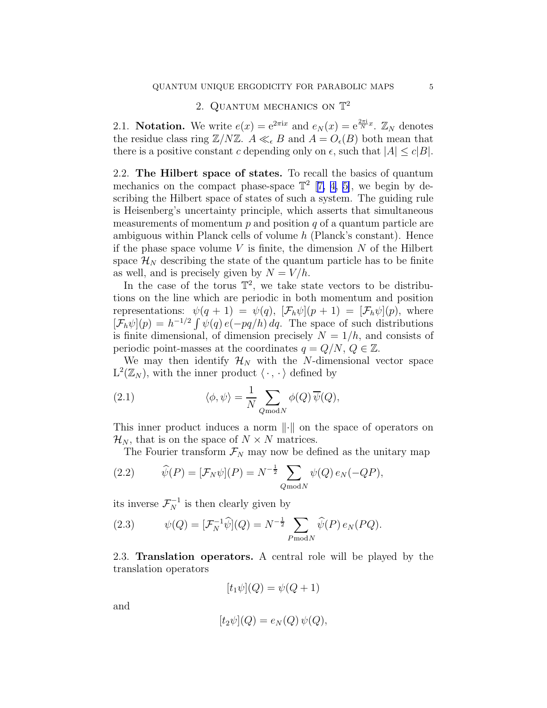# 2. QUANTUM MECHANICS ON  $\mathbb{T}^2$

2.1. Notation. We write  $e(x) = e^{2\pi ix}$  and  $e_N(x) = e^{\frac{2\pi i}{N}x}$ .  $\mathbb{Z}_N$  denotes the residue class ring  $\mathbb{Z}/N\mathbb{Z}$ .  $A \ll_{\epsilon} B$  and  $A = O_{\epsilon}(B)$  both mean that there is a positive constant c depending only on  $\epsilon$ , such that  $|A| \leq c|B|$ .

2.2. The Hilbert space of states. To recall the basics of quantum mechanics on the compact phase-space  $\mathbb{T}^2$  [[7, 4, 5\]](#page-28-0), we begin by describing the Hilbert space of states of such a system. The guiding rule is Heisenberg's uncertainty principle, which asserts that simultaneous measurements of momentum  $p$  and position  $q$  of a quantum particle are ambiguous within Planck cells of volume h (Planck's constant). Hence if the phase space volume  $V$  is finite, the dimension  $N$  of the Hilbert space  $\mathcal{H}_N$  describing the state of the quantum particle has to be finite as well, and is precisely given by  $N = V/h$ .

In the case of the torus  $\mathbb{T}^2$ , we take state vectors to be distributions on the line which are periodic in both momentum and position representations:  $\psi(q+1) = \psi(q)$ ,  $[\mathcal{F}_h \psi](p+1) = [\mathcal{F}_h \psi](p)$ , where  $[\mathcal{F}_h \psi](p) = h^{-1/2} \int \psi(q) e(-pq/h) dq$ . The space of such distributions is finite dimensional, of dimension precisely  $N = 1/h$ , and consists of periodic point-masses at the coordinates  $q = Q/N$ ,  $Q \in \mathbb{Z}$ .

We may then identify  $\mathcal{H}_N$  with the N-dimensional vector space  $L^2(\mathbb{Z}_N)$ , with the inner product  $\langle \cdot, \cdot \rangle$  defined by

(2.1) 
$$
\langle \phi, \psi \rangle = \frac{1}{N} \sum_{Q \bmod N} \phi(Q) \overline{\psi}(Q),
$$

This inner product induces a norm  $\|\cdot\|$  on the space of operators on  $\mathcal{H}_N$ , that is on the space of  $N \times N$  matrices.

The Fourier transform  $\mathcal{F}_N$  may now be defined as the unitary map

(2.2) 
$$
\widehat{\psi}(P) = [\mathcal{F}_N \psi](P) = N^{-\frac{1}{2}} \sum_{Q \bmod N} \psi(Q) e_N(-QP),
$$

its inverse  $\mathcal{F}_N^{-1}$  is then clearly given by

(2.3) 
$$
\psi(Q) = [\mathcal{F}_N^{-1} \hat{\psi}](Q) = N^{-\frac{1}{2}} \sum_{P \bmod N} \hat{\psi}(P) e_N(PQ).
$$

2.3. Translation operators. A central role will be played by the translation operators

$$
[t_1\psi](Q) = \psi(Q+1)
$$

and

$$
[t_2\psi](Q) = e_N(Q)\,\psi(Q),
$$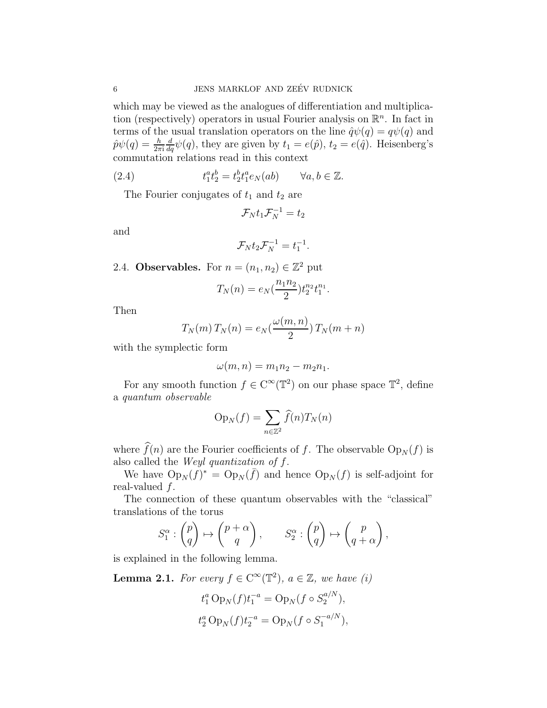<span id="page-5-0"></span>which may be viewed as the analogues of differentiation and multiplication (respectively) operators in usual Fourier analysis on  $\mathbb{R}^n$ . In fact in terms of the usual translation operators on the line  $\hat{q}\psi(q) = q\psi(q)$  and  $\hat{p}\psi(q) = \frac{h}{2\pi\mathrm{i}}$  $\frac{d}{dq}\psi(q)$ , they are given by  $t_1 = e(\hat{p})$ ,  $t_2 = e(\hat{q})$ . Heisenberg's commutation relations read in this context

(2.4) 
$$
t_1^at_2^b = t_2^bt_1^ae_N(ab) \qquad \forall a, b \in \mathbb{Z}.
$$

The Fourier conjugates of  $t_1$  and  $t_2$  are

$$
\mathcal{F}_N t_1 \mathcal{F}_N^{-1} = t_2
$$

and

$$
\mathcal{F}_N t_2 \mathcal{F}_N^{-1} = t_1^{-1}.
$$

2.4. **Observables.** For  $n = (n_1, n_2) \in \mathbb{Z}^2$  put

$$
T_N(n) = e_N(\frac{n_1 n_2}{2}) t_2^{n_2} t_1^{n_1}.
$$

Then

$$
T_N(m) T_N(n) = e_N(\frac{\omega(m, n)}{2}) T_N(m + n)
$$

with the symplectic form

$$
\omega(m,n)=m_1n_2-m_2n_1.
$$

For any smooth function  $f \in C^{\infty}(\mathbb{T}^2)$  on our phase space  $\mathbb{T}^2$ , define a *quantum observable*

$$
Op_N(f) = \sum_{n \in \mathbb{Z}^2} \widehat{f}(n) T_N(n)
$$

where  $\widehat{f}(n)$  are the Fourier coefficients of f. The observable  $Op_N(f)$  is also called the *Weyl quantization of* f.

We have  $Op_N(f)^* = Op_N(\bar{f})$  and hence  $Op_N(f)$  is self-adjoint for real-valued  $f$ .

The connection of these quantum observables with the "classical" translations of the torus

$$
S_1^{\alpha} : \begin{pmatrix} p \\ q \end{pmatrix} \mapsto \begin{pmatrix} p + \alpha \\ q \end{pmatrix}, \qquad S_2^{\alpha} : \begin{pmatrix} p \\ q \end{pmatrix} \mapsto \begin{pmatrix} p \\ q + \alpha \end{pmatrix},
$$

is explained in the following lemma.

**Lemma 2.1.** *For every*  $f \in C^{\infty}(\mathbb{T}^2)$ ,  $a \in \mathbb{Z}$ , we have (i)

$$
t_1^a \operatorname{Op}_N(f) t_1^{-a} = \operatorname{Op}_N(f \circ S_2^{a/N}),
$$
  

$$
t_2^a \operatorname{Op}_N(f) t_2^{-a} = \operatorname{Op}_N(f \circ S_1^{-a/N}),
$$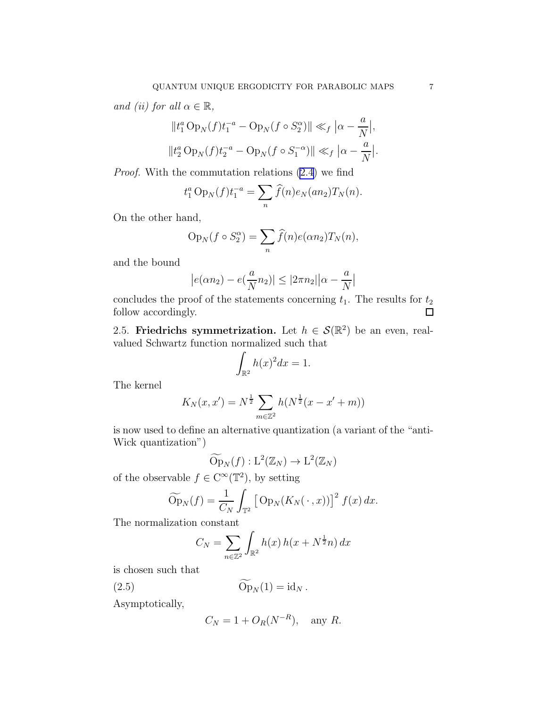<span id="page-6-0"></span>*and (ii) for all*  $\alpha \in \mathbb{R}$ *,* 

$$
||t_1^a Op_N(f)t_1^{-a} - Op_N(f \circ S_2^{\alpha})|| \ll_f |\alpha - \frac{a}{N}|,
$$
  

$$
||t_2^a Op_N(f)t_2^{-a} - Op_N(f \circ S_1^{-\alpha})|| \ll_f |\alpha - \frac{a}{N}|.
$$

*Proof.* With the commutation relations [\(2.4](#page-5-0)) we find

$$
t_1^a \, \text{Op}_N(f) t_1^{-a} = \sum_n \widehat{f}(n) e_N(an_2) T_N(n).
$$

On the other hand,

$$
Op_N(f \circ S_2^{\alpha}) = \sum_n \widehat{f}(n)e(\alpha n_2)T_N(n),
$$

and the bound

$$
|e(\alpha n_2) - e(\frac{a}{N}n_2)| \le |2\pi n_2| |\alpha - \frac{a}{N}|
$$

concludes the proof of the statements concerning  $t_1$ . The results for  $t_2$ follow accordingly.  $\Box$ 

2.5. Friedrichs symmetrization. Let  $h \in \mathcal{S}(\mathbb{R}^2)$  be an even, realvalued Schwartz function normalized such that

$$
\int_{\mathbb{R}^2} h(x)^2 dx = 1.
$$

The kernel

$$
K_N(x, x') = N^{\frac{1}{2}} \sum_{m \in \mathbb{Z}^2} h(N^{\frac{1}{2}}(x - x' + m))
$$

is now used to define an alternative quantization (a variant of the "anti-Wick quantization")

$$
\widetilde{\mathrm{Op}}_N(f): \mathrm{L}^2(\mathbb{Z}_N) \to \mathrm{L}^2(\mathbb{Z}_N)
$$

of the observable  $f \in C^{\infty}(\mathbb{T}^2)$ , by setting

$$
\widetilde{\mathrm{Op}}_N(f) = \frac{1}{C_N} \int_{\mathbb{T}^2} \left[ \mathrm{Op}_N(K_N(\,\cdot\,,x)) \right]^2 f(x) \, dx.
$$

The normalization constant

$$
C_N = \sum_{n \in \mathbb{Z}^2} \int_{\mathbb{R}^2} h(x) h(x + N^{\frac{1}{2}}n) dx
$$

is chosen such that

$$
\widetilde{\mathrm{Op}}_N(1) = \mathrm{id}_N \, .
$$

Asymptotically,

$$
C_N = 1 + O_R(N^{-R}), \quad \text{any } R.
$$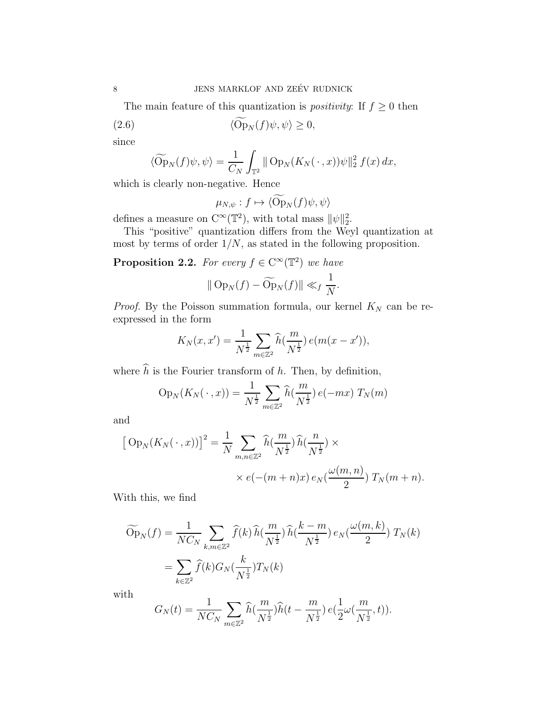The main feature of this quantization is *positivity*: If  $f \geq 0$  then

(2.6) 
$$
\langle \mathcal{O}_{P_N}(f)\psi,\psi\rangle\geq 0,
$$

since

$$
\langle \widetilde{\mathrm{Op}}_N(f)\psi,\psi\rangle = \frac{1}{C_N}\int_{\mathbb{T}^2} \|\mathrm{Op}_N(K_N(\,\cdot\,,x))\psi\|_2^2 f(x) dx,
$$

which is clearly non-negative. Hence

$$
\mu_{N,\psi}: f \mapsto \langle \widetilde{\mathrm{Op}}_N(f) \psi, \psi \rangle
$$

defines a measure on  $C^{\infty}(\mathbb{T}^2)$ , with total mass  $\|\psi\|_2^2$ .

This "positive" quantization differs from the Weyl quantization at most by terms of order  $1/N$ , as stated in the following proposition.

**Proposition 2.2.** For every  $f \in C^{\infty}(\mathbb{T}^2)$  we have

$$
\|\operatorname{Op}_N(f)-\widetilde{\operatorname{Op}}_N(f)\| \ll_f \frac{1}{N}.
$$

*Proof.* By the Poisson summation formula, our kernel  $K_N$  can be reexpressed in the form

$$
K_N(x, x') = \frac{1}{N^{\frac{1}{2}}} \sum_{m \in \mathbb{Z}^2} \widehat{h}(\frac{m}{N^{\frac{1}{2}}}) e(m(x - x')),
$$

where  $\hat{h}$  is the Fourier transform of h. Then, by definition,

$$
Op_N(K_N(\,\cdot\,,x)) = \frac{1}{N^{\frac{1}{2}}} \sum_{m \in \mathbb{Z}^2} \widehat{h}(\frac{m}{N^{\frac{1}{2}}}) e(-mx) T_N(m)
$$

and

$$
\left[\text{Op}_N(K_N(\,\cdot\,,x))\right]^2 = \frac{1}{N} \sum_{m,n \in \mathbb{Z}^2} \widehat{h}(\frac{m}{N^{\frac{1}{2}}}) \widehat{h}(\frac{n}{N^{\frac{1}{2}}}) \times \\ \times e(-(m+n)x) e_N(\frac{\omega(m,n)}{2}) T_N(m+n).
$$

With this, we find

$$
\widetilde{Op}_N(f) = \frac{1}{NC_N} \sum_{k,m \in \mathbb{Z}^2} \widehat{f}(k) \widehat{h}(\frac{m}{N^{\frac{1}{2}}}) \widehat{h}(\frac{k-m}{N^{\frac{1}{2}}}) e_N(\frac{\omega(m,k)}{2}) T_N(k)
$$

$$
= \sum_{k \in \mathbb{Z}^2} \widehat{f}(k) G_N(\frac{k}{N^{\frac{1}{2}}}) T_N(k)
$$

with

$$
G_N(t) = \frac{1}{NC_N} \sum_{m \in \mathbb{Z}^2} \widehat{h}(\frac{m}{N^{\frac{1}{2}}}) \widehat{h}(t - \frac{m}{N^{\frac{1}{2}}}) e(\frac{1}{2}\omega(\frac{m}{N^{\frac{1}{2}}}, t)).
$$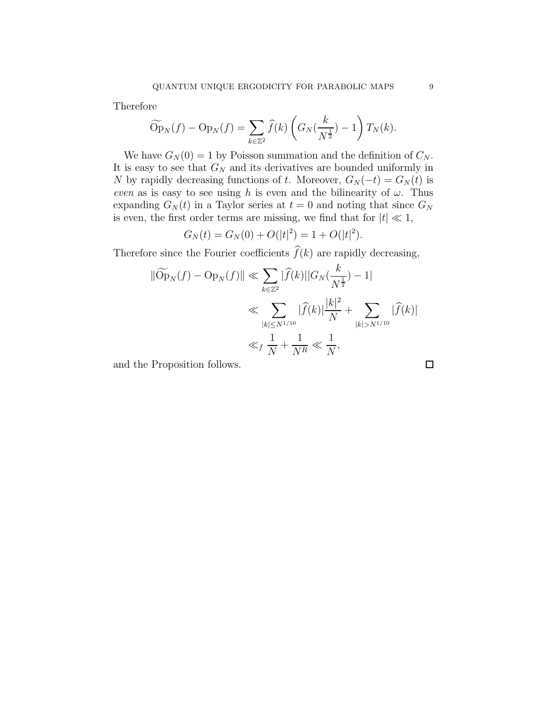Therefore

$$
\widetilde{\mathrm{Op}}_N(f) - \mathrm{Op}_N(f) = \sum_{k \in \mathbb{Z}^2} \widehat{f}(k) \left( G_N(\frac{k}{N^{\frac{1}{2}}}) - 1 \right) T_N(k).
$$

We have  $G_N(0) = 1$  by Poisson summation and the definition of  $C_N$ . It is easy to see that  $G_N$  and its derivatives are bounded uniformly in N by rapidly decreasing functions of t. Moreover,  $G_N(-t) = G_N(t)$  is *even* as is easy to see using h is even and the bilinearity of  $\omega$ . Thus expanding  $G_N(t)$  in a Taylor series at  $t = 0$  and noting that since  $G_N$ is even, the first order terms are missing, we find that for  $|t| \ll 1$ ,

$$
G_N(t) = G_N(0) + O(|t|^2) = 1 + O(|t|^2).
$$

Therefore since the Fourier coefficients  $f(k)$  are rapidly decreasing,

$$
\|\widetilde{Op}_N(f) - Op_N(f)\| \ll \sum_{k \in \mathbb{Z}^2} |\widehat{f}(k)||G_N(\frac{k}{N^{\frac{1}{2}}}) - 1|
$$
  

$$
\ll \sum_{|k| \le N^{1/10}} |\widehat{f}(k)| \frac{|k|^2}{N} + \sum_{|k| > N^{1/10}} |\widehat{f}(k)|
$$
  

$$
\ll_f \frac{1}{N} + \frac{1}{N^R} \ll \frac{1}{N},
$$

and the Proposition follows.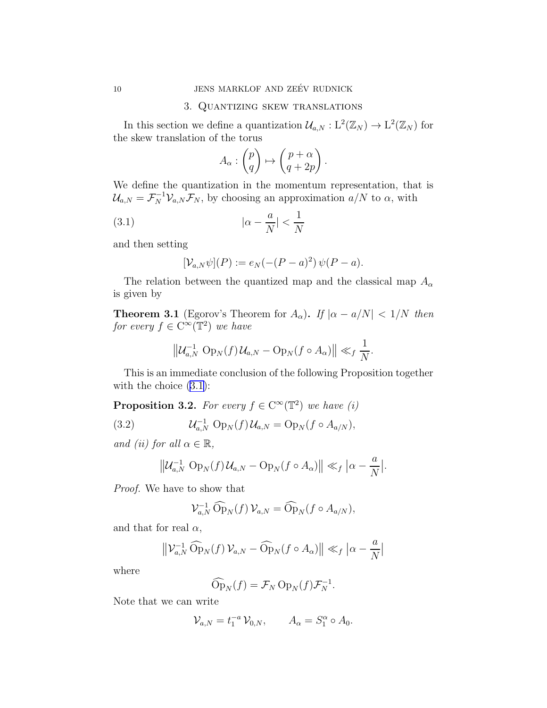### 3. Quantizing skew translations

<span id="page-9-0"></span>In this section we define a quantization  $\mathcal{U}_{a,N}: \mathbb{L}^2(\mathbb{Z}_N) \to \mathbb{L}^2(\mathbb{Z}_N)$  for the skew translation of the torus

$$
A_{\alpha}: \begin{pmatrix} p \\ q \end{pmatrix} \mapsto \begin{pmatrix} p + \alpha \\ q + 2p \end{pmatrix}.
$$

We define the quantization in the momentum representation, that is  $\mathcal{U}_{a,N} = \mathcal{F}_N^{-1} \mathcal{V}_{a,N} \mathcal{F}_N$ , by choosing an approximation  $a/N$  to  $\alpha$ , with

$$
(3.1)\t\t\t | \alpha - \frac{a}{N} | < \frac{1}{N}
$$

and then setting

$$
[\mathcal{V}_{a,N}\psi](P) := e_N(-(P-a)^2)\,\psi(P-a).
$$

The relation between the quantized map and the classical map  $A_{\alpha}$ is given by

**Theorem 3.1** (Egorov's Theorem for  $A_{\alpha}$ ). *If*  $|\alpha - a/N| < 1/N$  *then for every*  $f \in C^{\infty}(\mathbb{T}^2)$  *we have* 

$$
\left\|\mathcal{U}_{a,N}^{-1}\operatorname{Op}_N(f)\mathcal{U}_{a,N}-\operatorname{Op}_N(f\circ A_\alpha)\right\|\ll_f\frac{1}{N}.
$$

This is an immediate conclusion of the following Proposition together with the choice  $(3.1)$ :

**Proposition 3.2.** For every  $f \in C^{\infty}(\mathbb{T}^2)$  we have (i)

(3.2) 
$$
U_{a,N}^{-1} \text{ Op}_N(f) U_{a,N} = \text{Op}_N(f \circ A_{a/N}),
$$

*and (ii) for all*  $\alpha \in \mathbb{R}$ ,

$$
\left\|\mathcal{U}_{a,N}^{-1} \operatorname{Op}_N(f) \mathcal{U}_{a,N} - \operatorname{Op}_N(f \circ A_\alpha)\right\| \ll_f |\alpha - \frac{a}{N}|.
$$

*Proof.* We have to show that

$$
\mathcal{V}_{a,N}^{-1} \widehat{\mathrm{Op}}_N(f) \mathcal{V}_{a,N} = \widehat{\mathrm{Op}}_N(f \circ A_{a/N}),
$$

and that for real  $\alpha$ ,

$$
\left\| \mathcal{V}_{a,N}^{-1} \widehat{\mathrm{Op}}_N(f) \mathcal{V}_{a,N} - \widehat{\mathrm{Op}}_N(f \circ A_\alpha) \right\| \ll_f \left| \alpha - \frac{a}{N} \right|
$$

where

$$
\widehat{\mathrm{Op}}_N(f) = \mathcal{F}_N \, \mathrm{Op}_N(f) \mathcal{F}_N^{-1}.
$$

Note that we can write

$$
\mathcal{V}_{a,N} = t_1^{-a} \mathcal{V}_{0,N}, \qquad A_{\alpha} = S_1^{\alpha} \circ A_0.
$$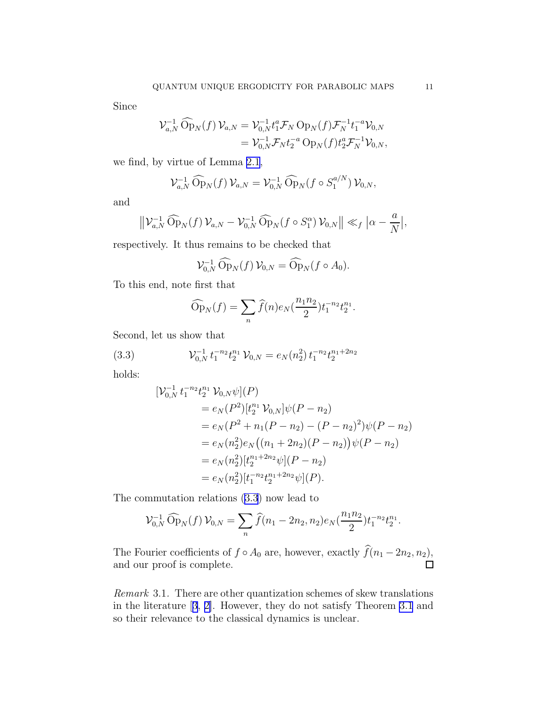Since

$$
\mathcal{V}_{a,N}^{-1} \widehat{\mathrm{Op}}_N(f) \mathcal{V}_{a,N} = \mathcal{V}_{0,N}^{-1} t_1^a \mathcal{F}_N \mathrm{Op}_N(f) \mathcal{F}_N^{-1} t_1^{-a} \mathcal{V}_{0,N} \n= \mathcal{V}_{0,N}^{-1} \mathcal{F}_N t_2^{-a} \mathrm{Op}_N(f) t_2^a \mathcal{F}_N^{-1} \mathcal{V}_{0,N},
$$

we find, by virtue of Lemma [2.1](#page-5-0),

$$
\mathcal{V}_{a,N}^{-1} \widehat{\mathrm{Op}}_N(f) \mathcal{V}_{a,N} = \mathcal{V}_{0,N}^{-1} \widehat{\mathrm{Op}}_N(f \circ S_1^{a/N}) \mathcal{V}_{0,N},
$$

and

$$
\left\|\mathcal{V}_{a,N}^{-1}\widehat{\mathrm{Op}}_N(f)\,\mathcal{V}_{a,N}-\mathcal{V}_{0,N}^{-1}\,\widehat{\mathrm{Op}}_N(f\circ S_1^{\alpha})\,\mathcal{V}_{0,N}\right\|\ll_f\left|\alpha-\frac{a}{N}\right|,
$$

respectively. It thus remains to be checked that

$$
\mathcal{V}_{0,N}^{-1} \widehat{\mathrm{Op}}_N(f) \mathcal{V}_{0,N} = \widehat{\mathrm{Op}}_N(f \circ A_0).
$$

To this end, note first that

$$
\widehat{\mathrm{Op}}_N(f) = \sum_n \widehat{f}(n) e_N(\frac{n_1 n_2}{2}) t_1^{-n_2} t_2^{n_1}.
$$

Second, let us show that

(3.3) 
$$
\mathcal{V}_{0,N}^{-1} t_1^{-n_2} t_2^{n_1} \mathcal{V}_{0,N} = e_N(n_2^2) t_1^{-n_2} t_2^{n_1+2n_2}
$$

holds:

$$
\begin{split} [\mathcal{V}_{0,N}^{-1} \, t_1^{-n_2} t_2^{n_1} \, \mathcal{V}_{0,N} \psi](P) \\ &= e_N(P^2) [t_2^{n_1} \, \mathcal{V}_{0,N}] \psi(P - n_2) \\ &= e_N(P^2 + n_1(P - n_2) - (P - n_2)^2) \psi(P - n_2) \\ &= e_N(n_2^2) e_N \big( (n_1 + 2n_2)(P - n_2) \big) \psi(P - n_2) \\ &= e_N(n_2^2) [t_2^{n_1 + 2n_2} \psi](P - n_2) \\ &= e_N(n_2^2) [t_1^{-n_2} t_2^{n_1 + 2n_2} \psi](P). \end{split}
$$

The commutation relations (3.3) now lead to

$$
\mathcal{V}_{0,N}^{-1} \widehat{\mathrm{Op}}_N(f) \,\mathcal{V}_{0,N} = \sum_n \widehat{f}(n_1 - 2n_2, n_2) e_N(\frac{n_1 n_2}{2}) t_1^{-n_2} t_2^{n_1}.
$$

The Fourier coefficients of  $f \circ A_0$  are, however, exactly  $\widehat{f}(n_1 - 2n_2, n_2)$ , and our proof is complete. and our proof is complete.

*Remark* 3.1*.* There are other quantization schemes of skew translations in the literature[[3](#page-28-0), [2\]](#page-28-0). However, they do not satisfy Theorem [3.1](#page-9-0) and so their relevance to the classical dynamics is unclear.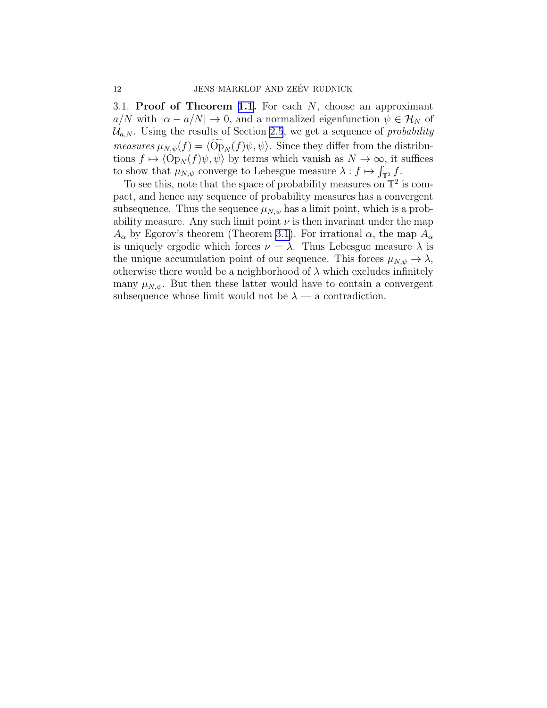3.1. **Proof of Theorem [1.1.](#page-2-0)** For each  $N$ , choose an approximant  $a/N$  with  $|\alpha - a/N| \to 0$ , and a normalized eigenfunction  $\psi \in \mathcal{H}_N$  of  $\mathcal{U}_{a,N}$ . Using the results of Section [2.5](#page-6-0), we get a sequence of *probability measures*  $\mu_{N,\psi}(f) = \langle \widetilde{\mathrm{Op}}_N(f)\psi,\psi\rangle$ . Since they differ from the distributions  $f \mapsto \langle \text{Op}_N(f)\psi, \psi \rangle$  by terms which vanish as  $N \to \infty$ , it suffices to show that  $\mu_{N,\psi}$  converge to Lebesgue measure  $\lambda : f \mapsto \int_{\mathbb{T}^2} f$ .

To see this, note that the space of probability measures on  $\mathbb{T}^2$  is compact, and hence any sequence of probability measures has a convergent subsequence. Thus the sequence  $\mu_{N,\psi}$  has a limit point, which is a probability measure. Any such limit point  $\nu$  is then invariant under the map  $A_{\alpha}$  by Egorov's theorem (Theorem [3.1](#page-9-0)). For irrational  $\alpha$ , the map  $A_{\alpha}$ is uniquely ergodic which forces  $\nu = \lambda$ . Thus Lebesgue measure  $\lambda$  is the unique accumulation point of our sequence. This forces  $\mu_{N,\psi} \to \lambda$ , otherwise there would be a neighborhood of  $\lambda$  which excludes infinitely many  $\mu_{N,\psi}$ . But then these latter would have to contain a convergent subsequence whose limit would not be  $\lambda$  — a contradiction.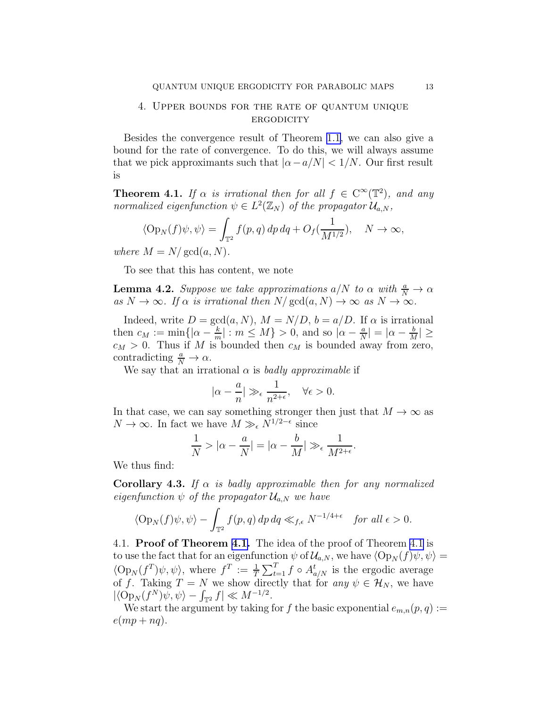### <span id="page-12-0"></span>4. Upper bounds for the rate of quantum unique **ERGODICITY**

Besides the convergence result of Theorem [1.1](#page-2-0), we can also give a bound for the rate of convergence. To do this, we will always assume that we pick approximants such that  $|\alpha - a/N| < 1/N$ . Our first result is

**Theorem 4.1.** *If*  $\alpha$  *is irrational then for all*  $f \in C^{\infty}(\mathbb{T}^2)$ *, and any normalized eigenfunction*  $\psi \in L^2(\mathbb{Z}_N)$  *of the propagator*  $\mathcal{U}_{a,N}$ *,* 

$$
\langle \operatorname{Op}_N(f)\psi,\psi\rangle = \int_{\mathbb{T}^2} f(p,q) \, dp \, dq + O_f(\frac{1}{M^{1/2}}), \quad N \to \infty,
$$

*where*  $M = N/\text{gcd}(a, N)$ *.* 

To see that this has content, we note

**Lemma 4.2.** *Suppose we take approximations*  $a/N$  *to*  $\alpha$  *with*  $\frac{a}{N} \to \alpha$  $as N \to \infty$ *. If*  $\alpha$  *is irrational then*  $N/gcd(a, N) \to \infty$  *as*  $N \to \infty$ *.* 

Indeed, write  $D = \gcd(a, N)$ ,  $M = N/D$ ,  $b = a/D$ . If  $\alpha$  is irrational then  $c_M := \min\{|\alpha - \frac{k}{m}\}|$  $\frac{k}{m}|: m \le M$  > 0, and so  $|\alpha - \frac{a}{N}|$  $\frac{a}{N}$ | =  $\alpha - \frac{b}{M}$  $\frac{1}{M}$ |  $\leq$  $c_M > 0$ . Thus if M is bounded then  $c_M$  is bounded away from zero, contradicting  $\frac{a}{N} \to \alpha$ .

We say that an irrational  $\alpha$  is *badly approximable* if

$$
|\alpha-\frac{a}{n}|\gg_\epsilon \frac{1}{n^{2+\epsilon}},\quad \forall \epsilon>0.
$$

In that case, we can say something stronger then just that  $M \to \infty$  as  $N \to \infty$ . In fact we have  $M \gg_{\epsilon} N^{1/2-\epsilon}$  since

$$
\frac{1}{N} > |\alpha - \frac{a}{N}| = |\alpha - \frac{b}{M}| \gg_{\epsilon} \frac{1}{M^{2+\epsilon}}.
$$

We thus find:

**Corollary 4.3.** *If*  $\alpha$  *is badly approximable then for any normalized eigenfunction*  $\psi$  *of the propagator*  $\mathcal{U}_{a,N}$  *we have* 

$$
\langle \operatorname{Op}_N(f)\psi,\psi\rangle-\int_{\mathbb{T}^2}f(p,q)\,dp\,dq\ll_{f,\epsilon} N^{-1/4+\epsilon}\quad\text{for all }\epsilon>0.
$$

4.1. Proof of Theorem 4.1. The idea of the proof of Theorem 4.1 is to use the fact that for an eigenfunction  $\psi$  of  $\mathcal{U}_{a,N}$ , we have  $\langle \operatorname{Op}_N(f)\psi, \psi \rangle =$  $\langle \text{Op}_N(f^T)\psi,\psi\rangle$ , where  $f^T := \frac{1}{T}\sum_{t=1}^T f \circ A_{a/N}^t$  is the ergodic average of f. Taking  $T = N$  we show directly that for *any*  $\psi \in \mathcal{H}_N$ , we have  $|\langle \operatorname{Op}_N (f^N) \psi, \psi \rangle - \int_{\mathbb{T}^2} f| \ll M^{-1/2}.$ 

We start the argument by taking for f the basic exponential  $e_{m,n}(p,q) :=$  $e(mp+nq).$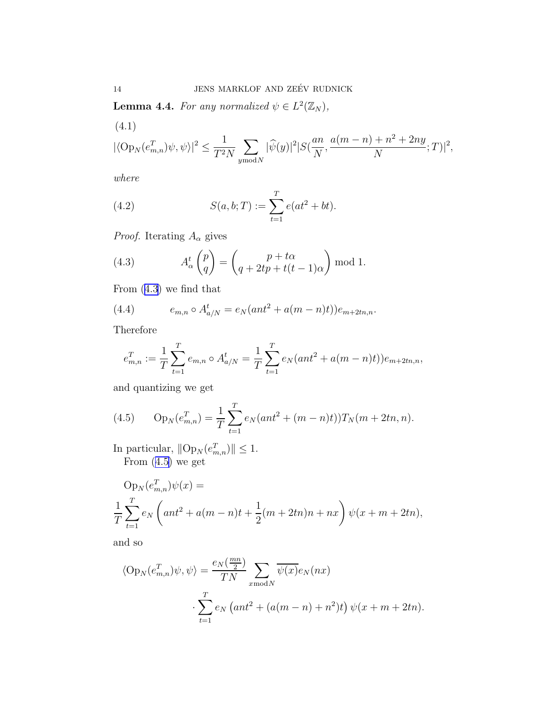**Lemma 4.4.** For any normalized  $\psi \in L^2(\mathbb{Z}_N)$ ,

(4.1)  
\n
$$
|\langle \text{Op}_N(e_{m,n}^T)\psi, \psi \rangle|^2 \le \frac{1}{T^2N} \sum_{y \text{ mod } N} |\widehat{\psi}(y)|^2 |S(\frac{an}{N}, \frac{a(m-n)+n^2+2ny}{N}; T)|^2,
$$

*where*

(4.2) 
$$
S(a, b; T) := \sum_{t=1}^{T} e(at^2 + bt).
$$

*Proof.* Iterating  $A_{\alpha}$  gives

(4.3) 
$$
A_{\alpha}^{t} \begin{pmatrix} p \\ q \end{pmatrix} = \begin{pmatrix} p + t\alpha \\ q + 2tp + t(t-1)\alpha \end{pmatrix} \bmod 1.
$$

From (4.3) we find that

(4.4) 
$$
e_{m,n} \circ A_{a/N}^t = e_N(ant^2 + a(m-n)t))e_{m+2tn,n}.
$$

Therefore

$$
e_{m,n}^T := \frac{1}{T} \sum_{t=1}^T e_{m,n} \circ A_{a/N}^t = \frac{1}{T} \sum_{t=1}^T e_N(ant^2 + a(m-n)t)) e_{m+2tn,n},
$$

and quantizing we get

(4.5) 
$$
\text{Op}_N(e_{m,n}^T) = \frac{1}{T} \sum_{t=1}^T e_N(ant^2 + (m-n)t)) T_N(m+2tn, n).
$$

In particular,  $||Op_N(e_{m,n}^T)|| \leq 1$ . From (4.5) we get

$$
Op_N(e_{m,n}^T)\psi(x) =
$$
  

$$
\frac{1}{T}\sum_{t=1}^T e_N\left(ant^2 + a(m-n)t + \frac{1}{2}(m+2tn)n + nx\right)\psi(x+m+2tn),
$$

and so

$$
\langle \operatorname{Op}_N(e_{m,n}^T)\psi,\psi\rangle = \frac{e_N(\frac{mn}{2})}{TN} \sum_{x \text{ mod } N} \overline{\psi(x)} e_N(nx)
$$

$$
\cdot \sum_{t=1}^T e_N\left(ant^2 + (a(m-n) + n^2)t\right)\psi(x+m+2tn).
$$

<span id="page-13-0"></span>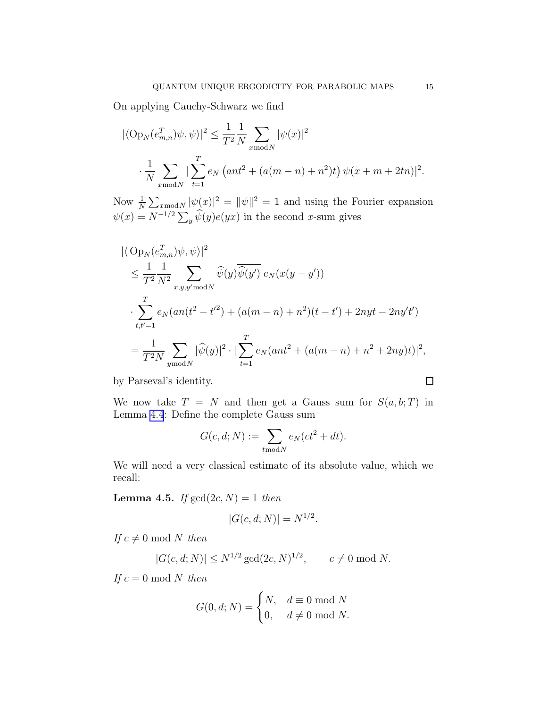<span id="page-14-0"></span>On applying Cauchy-Schwarz we find

$$
|\langle \text{Op}_N(e_{m,n}^T) \psi, \psi \rangle|^2 \le \frac{1}{T^2} \frac{1}{N} \sum_{x \text{ mod } N} |\psi(x)|^2
$$
  

$$
\frac{1}{N} \sum_{x \text{ mod } N} |\sum_{t=1}^T e_N \left(ant^2 + (a(m-n) + n^2)t\right) \psi(x+m+2tn)|^2.
$$

Now  $\frac{1}{N} \sum_{x \text{ mod } N} |\psi(x)|^2 = ||\psi||^2 = 1$  and using the Fourier expansion  $\psi(x) = N^{-1/2} \sum_{y} \widehat{\psi}(y) e(yx)$  in the second x-sum gives

$$
\langle \langle \operatorname{Op}_N(e_{m,n}^T) \psi, \psi \rangle \rangle^2
$$
  
\n
$$
\leq \frac{1}{T^2} \frac{1}{N^2} \sum_{x,y,y' \text{ mod } N} \widehat{\psi}(y) \overline{\widehat{\psi}(y')} e_N(x(y - y'))
$$
  
\n
$$
\cdot \sum_{t,t'=1}^T e_N(an(t^2 - t'^2) + (a(m - n) + n^2)(t - t') + 2nyt - 2ny't')
$$
  
\n
$$
= \frac{1}{T^2N} \sum_{y \text{ mod } N} |\widehat{\psi}(y)|^2 \cdot |\sum_{t=1}^T e_N(ant^2 + (a(m - n) + n^2 + 2ny)t)|^2,
$$

by Parseval's identity.

We now take  $T = N$  and then get a Gauss sum for  $S(a, b; T)$  in Lemma [4.4](#page-12-0): Define the complete Gauss sum

$$
G(c, d; N) := \sum_{t \bmod N} e_N(ct^2 + dt).
$$

We will need a very classical estimate of its absolute value, which we recall:

**Lemma 4.5.** *If*  $gcd(2c, N) = 1$  *then* 

$$
|G(c, d; N)| = N^{1/2}.
$$

*If*  $c \neq 0 \text{ mod } N$  *then* 

$$
|G(c, d; N)| \le N^{1/2} \gcd(2c, N)^{1/2}, \qquad c \neq 0 \mod N.
$$

*If*  $c = 0 \text{ mod } N$  *then* 

$$
G(0,d;N)=\begin{cases} N, & d\equiv 0\bmod N\\ 0, & d\neq 0\bmod N. \end{cases}
$$

 $\Box$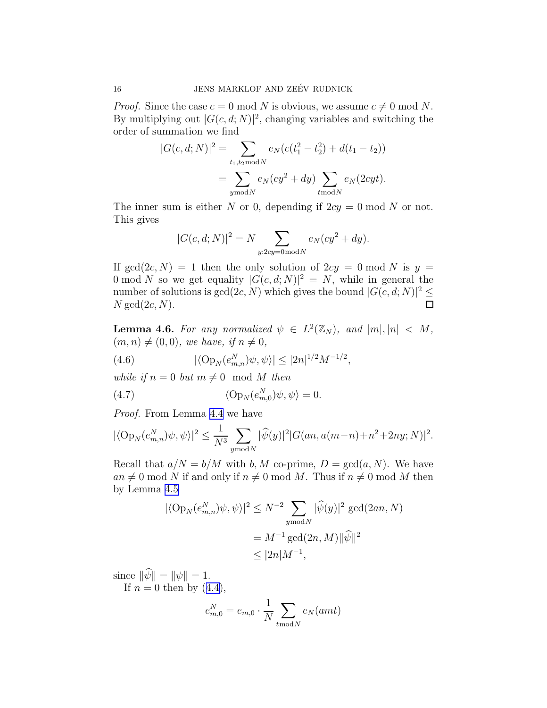<span id="page-15-0"></span>*Proof.* Since the case  $c = 0 \text{ mod } N$  is obvious, we assume  $c \neq 0 \text{ mod } N$ . By multiplying out  $|G(c, d; N)|^2$ , changing variables and switching the order of summation we find

$$
|G(c, d; N)|^2 = \sum_{t_1, t_2 \text{ mod } N} e_N(c(t_1^2 - t_2^2) + d(t_1 - t_2))
$$
  
= 
$$
\sum_{y \text{ mod } N} e_N(c y^2 + dy) \sum_{t \text{ mod } N} e_N(2cyt).
$$

The inner sum is either N or 0, depending if  $2cy = 0 \text{ mod } N$  or not. This gives

$$
|G(c, d; N)|^2 = N \sum_{y:2cy=0 \text{ mod } N} e_N(cy^2 + dy).
$$

If  $gcd(2c, N) = 1$  then the only solution of  $2cy = 0 \mod N$  is  $y =$ 0 mod N so we get equality  $|G(c, d; N)|^2 = N$ , while in general the number of solutions is  $gcd(2c, N)$  which gives the bound  $|G(c, d; N)|^2 \le$  $N \gcd(2c, N)$ .

**Lemma 4.6.** For any normalized  $\psi \in L^2(\mathbb{Z}_N)$ , and  $|m|, |n| < M$ ,  $(m, n) \neq (0, 0)$ *, we have, if*  $n \neq 0$ *,* 

(4.6) 
$$
|\langle \operatorname{Op}_N(e_{m,n}^N)\psi,\psi\rangle| \le |2n|^{1/2}M^{-1/2},
$$

*while if*  $n = 0$  *but*  $m \neq 0$  mod M *then* 

(4.7) 
$$
\langle \mathcal{O}_{P_N}(e_{m,0}^N)\psi,\psi\rangle = 0.
$$

*Proof.* From Lemma [4.4](#page-12-0) we have

$$
|\langle \text{Op}_N(e_{m,n}^N)\psi, \psi \rangle|^2 \le \frac{1}{N^3} \sum_{y \text{ mod } N} |\widehat{\psi}(y)|^2 |G(an, a(m-n)+n^2+2ny; N)|^2.
$$

Recall that  $a/N = b/M$  with b, M co-prime,  $D = \text{gcd}(a, N)$ . We have  $an \neq 0 \mod N$  if and only if  $n \neq 0 \mod M$ . Thus if  $n \neq 0 \mod M$  then by Lemma [4.5](#page-14-0)

$$
\begin{aligned} |\langle \operatorname{Op}_N(e_{m,n}^N)\psi, \psi \rangle|^2 &\le N^{-2} \sum_{y \text{ mod } N} |\widehat{\psi}(y)|^2 \gcd(2an, N) \\ &= M^{-1} \gcd(2n, M) ||\widehat{\psi}||^2 \\ &\le |2n| M^{-1}, \end{aligned}
$$

since  $\|\widehat{\psi}\| = \|\psi\| = 1$ .

If $n = 0$  then by  $(4.4)$  $(4.4)$ ,

$$
e_{m,0}^N = e_{m,0} \cdot \frac{1}{N} \sum_{t \bmod N} e_N(amt)
$$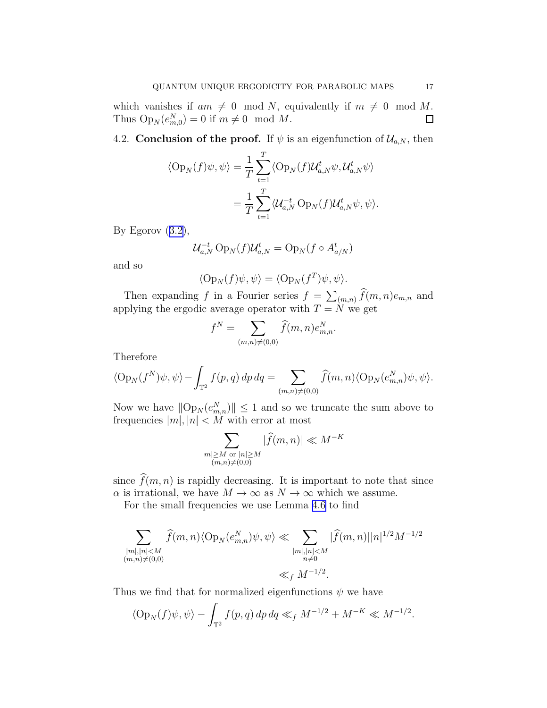which vanishes if  $am \neq 0 \mod N$ , equivalently if  $m \neq 0 \mod M$ .<br>Thus  $Op_N(e_m^N) = 0$  if  $m \neq 0 \mod M$ . Thus  $Op_N(e_{m,0}^N) = 0$  if  $m \neq 0 \mod M$ .

4.2. Conclusion of the proof. If  $\psi$  is an eigenfunction of  $\mathcal{U}_{a,N}$ , then

$$
\langle \operatorname{Op}_N(f)\psi,\psi\rangle = \frac{1}{T}\sum_{t=1}^T \langle \operatorname{Op}_N(f)\mathcal{U}_{a,N}^t\psi,\mathcal{U}_{a,N}^t\psi\rangle
$$

$$
= \frac{1}{T}\sum_{t=1}^T \langle \mathcal{U}_{a,N}^{-t}\operatorname{Op}_N(f)\mathcal{U}_{a,N}^t\psi,\psi\rangle.
$$

ByEgorov  $(3.2)$  $(3.2)$ ,

$$
\mathcal{U}_{a,N}^{-t} \operatorname{Op}_N(f) \mathcal{U}_{a,N}^t = \operatorname{Op}_N(f \circ A_{a/N}^t)
$$

and so

$$
\langle \operatorname{Op}_N(f)\psi,\psi\rangle = \langle \operatorname{Op}_N(f^T)\psi,\psi\rangle.
$$

Then expanding f in a Fourier series  $f = \sum_{(m,n)} \widehat{f}(m, n)e_{m,n}$  and applying the ergodic average operator with  $T = N$  we get

$$
f^N = \sum_{(m,n)\neq (0,0)} \widehat{f}(m,n) e_{m,n}^N.
$$

Therefore

$$
\langle \operatorname{Op}_N(f^N)\psi,\psi\rangle - \int_{\mathbb{T}^2} f(p,q) \, dp \, dq = \sum_{(m,n)\neq(0,0)} \widehat{f}(m,n) \langle \operatorname{Op}_N(e_{m,n}^N)\psi,\psi\rangle.
$$

Now we have  $||Op_N(e_{m,n}^N)|| \leq 1$  and so we truncate the sum above to frequencies  $|m|, |n| < M$  with error at most

$$
\sum_{\substack{|m| \ge M \text{ or } |n| \ge M \\ (m,n) \ne (0,0)}} |\widehat{f}(m,n)| \ll M^{-K}
$$

since  $\widehat{f}(m, n)$  is rapidly decreasing. It is important to note that since  $\alpha$  is irrational, we have  $M \to \infty$  as  $N \to \infty$  which we assume.

For the small frequencies we use Lemma [4.6](#page-15-0) to find

$$
\sum_{\substack{|m|, |n| < M\\(m,n) \neq (0,0)}} \hat{f}(m,n) \langle \text{Op}_N(e_{m,n}^N) \psi, \psi \rangle \ll \sum_{\substack{|m|, |n| < M\\n \neq 0}} |\hat{f}(m,n)| |n|^{1/2} M^{-1/2}
$$
  

$$
\ll_f M^{-1/2}.
$$

Thus we find that for normalized eigenfunctions  $\psi$  we have

$$
\langle \text{Op}_N(f)\psi, \psi \rangle - \int_{\mathbb{T}^2} f(p, q) \, dp \, dq \ll_f M^{-1/2} + M^{-K} \ll M^{-1/2}.
$$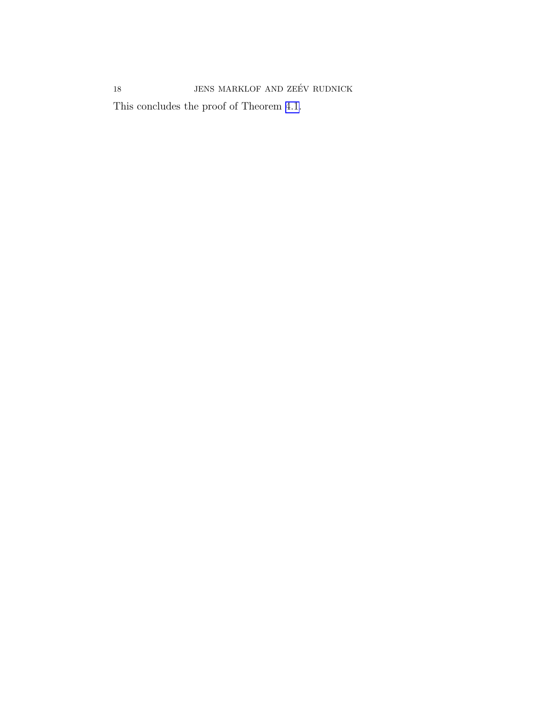This concludes the proof of Theorem [4.1.](#page-12-0)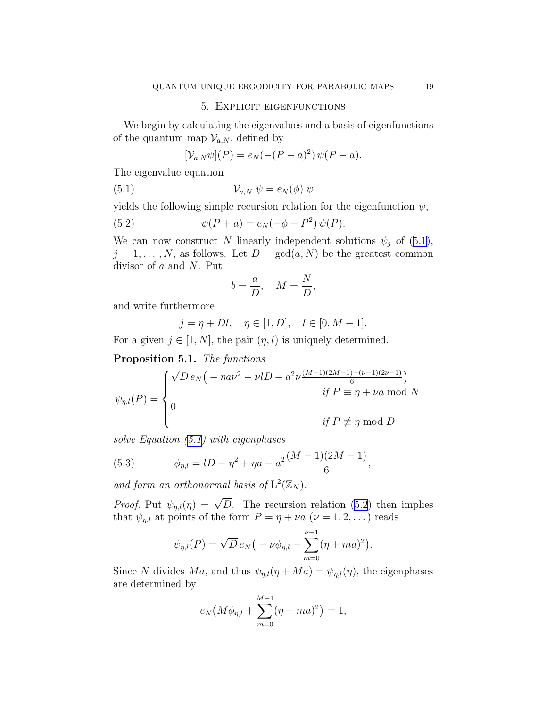#### 5. Explicit eigenfunctions

<span id="page-18-0"></span>We begin by calculating the eigenvalues and a basis of eigenfunctions of the quantum map  $\mathcal{V}_{a,N}$ , defined by

$$
[\mathcal{V}_{a,N}\psi](P) = e_N(-(P-a)^2)\,\psi(P-a).
$$

The eigenvalue equation

(5.1) 
$$
\mathcal{V}_{a,N} \psi = e_N(\phi) \psi
$$

yields the following simple recursion relation for the eigenfunction  $\psi$ ,

(5.2) 
$$
\psi(P + a) = e_N(-\phi - P^2) \psi(P).
$$

We can now construct N linearly independent solutions  $\psi_j$  of (5.1),  $j = 1, \ldots, N$ , as follows. Let  $D = \gcd(a, N)$  be the greatest common divisor of a and N. Put

$$
b = \frac{a}{D}, \quad M = \frac{N}{D},
$$

and write furthermore

$$
j = \eta + Dl, \quad \eta \in [1, D], \quad l \in [0, M - 1].
$$

For a given  $j \in [1, N]$ , the pair  $(\eta, l)$  is uniquely determined.

Proposition 5.1. *The functions*

$$
\psi_{\eta,l}(P) = \begin{cases} \sqrt{D} e_N \left( -\eta a \nu^2 - \nu l D + a^2 \nu \frac{(M-1)(2M-1) - (\nu-1)(2\nu-1)}{6} \right) \\ 0 & \text{if } P \equiv \eta + \nu a \text{ mod } N \\ 0 & \text{if } P \not\equiv \eta \text{ mod } D \end{cases}
$$

*solve Equation (5.1) with eigenphases*

(5.3) 
$$
\phi_{\eta,l} = lD - \eta^2 + \eta a - a^2 \frac{(M-1)(2M-1)}{6},
$$

and form an orthonormal basis of  $L^2(\mathbb{Z}_N)$ .

*Proof.* Put  $\psi_{\eta,l}(\eta) = \sqrt{D}$ . The recursion relation (5.2) then implies that  $\psi_{\eta,l}$  at points of the form  $P = \eta + \nu a$   $(\nu = 1, 2, ...)$  reads

$$
\psi_{\eta,l}(P) = \sqrt{D} \, e_N \big( -\nu \phi_{\eta,l} - \sum_{m=0}^{\nu-1} (\eta + ma)^2 \big).
$$

Since N divides Ma, and thus  $\psi_{\eta,l}(\eta + Ma) = \psi_{\eta,l}(\eta)$ , the eigenphases are determined by

$$
e_N\big(M\phi_{\eta,l} + \sum_{m=0}^{M-1} (\eta + ma)^2\big) = 1,
$$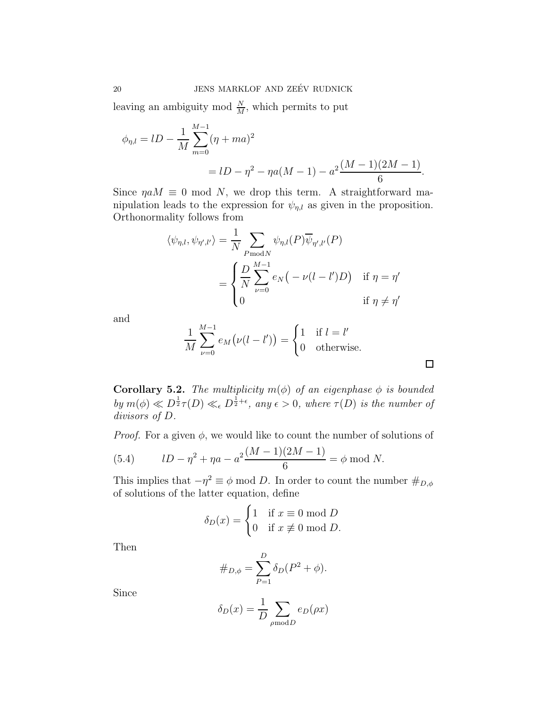<span id="page-19-0"></span>leaving an ambiguity mod  $\frac{N}{M}$ , which permits to put

$$
\phi_{\eta,l} = lD - \frac{1}{M} \sum_{m=0}^{M-1} (\eta + ma)^2
$$
  
=  $lD - \eta^2 - \eta a(M-1) - a^2 \frac{(M-1)(2M-1)}{6}$ .

Since  $\eta a M \equiv 0 \text{ mod } N$ , we drop this term. A straightforward manipulation leads to the expression for  $\psi_{n,l}$  as given in the proposition. Orthonormality follows from

$$
\langle \psi_{\eta,l}, \psi_{\eta',l'} \rangle = \frac{1}{N} \sum_{P \text{mod } N} \psi_{\eta,l}(P) \overline{\psi}_{\eta',l'}(P)
$$

$$
= \begin{cases} \frac{D}{N} \sum_{\nu=0}^{M-1} e_N \big( -\nu(l-l')D \big) & \text{if } \eta = \eta' \\ 0 & \text{if } \eta \neq \eta' \end{cases}
$$

and

$$
\frac{1}{M} \sum_{\nu=0}^{M-1} e_M(\nu(l-l')) = \begin{cases} 1 & \text{if } l=l' \\ 0 & \text{otherwise.} \end{cases}
$$

 $\Box$ 

**Corollary 5.2.** *The multiplicity*  $m(\phi)$  *of an eigenphase*  $\phi$  *is bounded by*  $m(\phi) \ll D^{\frac{1}{2}} \tau(D) \ll_{\epsilon} D^{\frac{1}{2}+\epsilon}$ , any  $\epsilon > 0$ , where  $\tau(D)$  *is the number of divisors of* D*.*

*Proof.* For a given  $\phi$ , we would like to count the number of solutions of

(5.4) 
$$
lD - \eta^2 + \eta a - a^2 \frac{(M-1)(2M-1)}{6} = \phi \bmod N.
$$

This implies that  $-\eta^2 \equiv \phi \mod D$ . In order to count the number  $\#_{D,\phi}$ of solutions of the latter equation, define

$$
\delta_D(x) = \begin{cases} 1 & \text{if } x \equiv 0 \bmod D \\ 0 & \text{if } x \not\equiv 0 \bmod D. \end{cases}
$$

Then

$$
\#_{D,\phi} = \sum_{P=1}^{D} \delta_D (P^2 + \phi).
$$

Since

$$
\delta_D(x) = \frac{1}{D} \sum_{\rho \bmod D} e_D(\rho x)
$$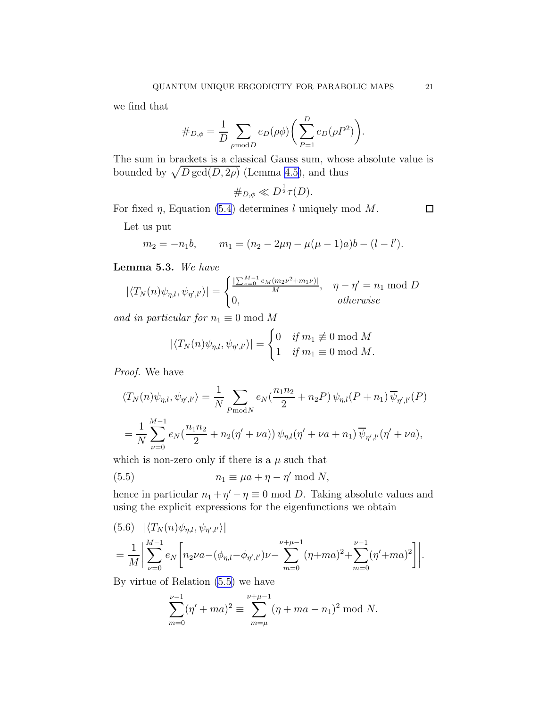<span id="page-20-0"></span>we find that

$$
\#_{D,\phi} = \frac{1}{D} \sum_{\rho \bmod D} e_D(\rho \phi) \bigg( \sum_{P=1}^D e_D(\rho P^2) \bigg).
$$

The sum in brackets is a classical Gauss sum, whose absolute value is bounded by  $\sqrt{D \gcd(D, 2\rho)}$  (Lemma [4.5\)](#page-14-0), and thus

$$
\#_{D,\phi}\ll D^{\frac{1}{2}}\tau(D).
$$

For fixed  $\eta$ , Equation [\(5.4](#page-19-0)) determines l uniquely mod M.

 $\Box$ 

Let us put

$$
m_2 = -n_1b
$$
,  $m_1 = (n_2 - 2\mu\eta - \mu(\mu - 1)a)b - (l - l').$ 

Lemma 5.3. *We have*

$$
|\langle T_N(n)\psi_{\eta,l},\psi_{\eta',l'}\rangle| = \begin{cases} \frac{|\sum_{\nu=0}^{M-1} e_M(m_2\nu^2 + m_1\nu)|}{M}, & \eta - \eta' = n_1 \text{ mod } D\\ 0, & otherwise \end{cases}
$$

*and in particular for*  $n_1 \equiv 0 \text{ mod } M$ 

$$
|\langle T_N(n)\psi_{\eta,l},\psi_{\eta',l'}\rangle| = \begin{cases} 0 & \text{if } m_1 \not\equiv 0 \bmod M \\ 1 & \text{if } m_1 \equiv 0 \bmod M. \end{cases}
$$

*Proof.* We have

$$
\langle T_N(n)\psi_{\eta,l}, \psi_{\eta',l'} \rangle = \frac{1}{N} \sum_{P \bmod N} e_N(\frac{n_1 n_2}{2} + n_2 P) \psi_{\eta,l}(P + n_1) \overline{\psi}_{\eta',l'}(P)
$$
  
= 
$$
\frac{1}{N} \sum_{\nu=0}^{M-1} e_N(\frac{n_1 n_2}{2} + n_2(\eta' + \nu a)) \psi_{\eta,l}(\eta' + \nu a + n_1) \overline{\psi}_{\eta',l'}(\eta' + \nu a),
$$

which is non-zero only if there is a  $\mu$  such that

(5.5) 
$$
n_1 \equiv \mu a + \eta - \eta' \bmod N,
$$

hence in particular  $n_1 + \eta' - \eta \equiv 0 \mod D$ . Taking absolute values and using the explicit expressions for the eigenfunctions we obtain

$$
(5.6) \quad |\langle T_N(n)\psi_{\eta,l}, \psi_{\eta',l'}\rangle|
$$
  
=  $\frac{1}{M} \Bigg| \sum_{\nu=0}^{M-1} e_N \Bigg[ n_2 \nu a - (\phi_{\eta,l} - \phi_{\eta',l'}) \nu - \sum_{m=0}^{\nu+\mu-1} (\eta + ma)^2 + \sum_{m=0}^{\nu-1} (\eta' + ma)^2 \Bigg] \Bigg|.$ 

By virtue of Relation (5.5) we have

$$
\sum_{m=0}^{\nu-1} (\eta' + ma)^2 \equiv \sum_{m=\mu}^{\nu+\mu-1} (\eta + ma - n_1)^2 \text{ mod } N.
$$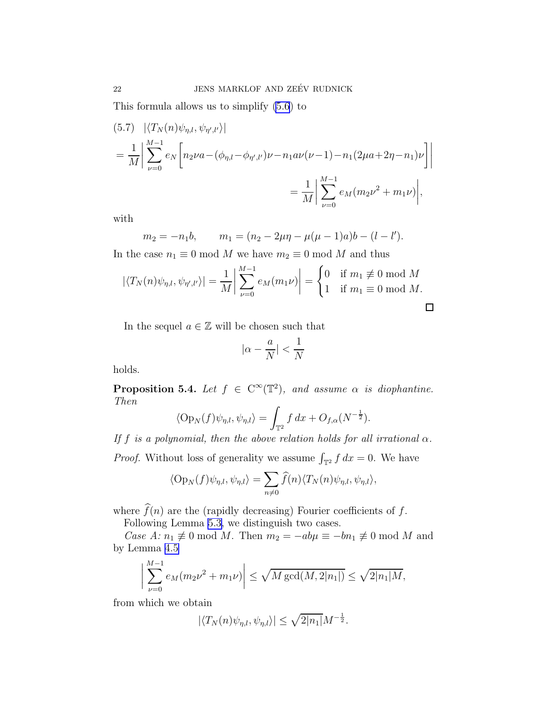This formula allows us to simplify [\(5.6](#page-20-0)) to

$$
(5.7) \quad |\langle T_N(n)\psi_{\eta,l}, \psi_{\eta',l'}\rangle|
$$
  
=  $\frac{1}{M} \left| \sum_{\nu=0}^{M-1} e_N \left[ n_2 \nu a - (\phi_{\eta,l} - \phi_{\eta',l'}) \nu - n_1 a \nu (\nu - 1) - n_1 (2\mu a + 2\eta - n_1) \nu \right] \right|$   
=  $\frac{1}{M} \left| \sum_{\nu=0}^{M-1} e_M (m_2 \nu^2 + m_1 \nu) \right|$ ,

with

$$
m_2 = -n_1b
$$
,  $m_1 = (n_2 - 2\mu\eta - \mu(\mu - 1)a)b - (l - l').$ 

In the case  $n_1 \equiv 0 \mod M$  we have  $m_2 \equiv 0 \mod M$  and thus

$$
|\langle T_N(n)\psi_{\eta,l}, \psi_{\eta',l'}\rangle| = \frac{1}{M} \left| \sum_{\nu=0}^{M-1} e_M(m_1 \nu) \right| = \begin{cases} 0 & \text{if } m_1 \not\equiv 0 \bmod M \\ 1 & \text{if } m_1 \equiv 0 \bmod M. \end{cases}
$$

In the sequel  $a \in \mathbb{Z}$  will be chosen such that

$$
|\alpha - \frac{a}{N}| < \frac{1}{N}
$$

holds.

**Proposition 5.4.** *Let*  $f \in C^{\infty}(\mathbb{T}^2)$ *, and assume*  $\alpha$  *is diophantine. Then*

$$
\langle \operatorname{Op}_N(f)\psi_{\eta,l},\psi_{\eta,l}\rangle=\int_{\mathbb{T}^2}f\,dx+O_{f,\alpha}(N^{-\frac{1}{2}}).
$$

*If*  $f$  *is a polynomial, then the above relation holds for all irrational*  $\alpha$ *. Proof.* Without loss of generality we assume  $\int_{\mathbb{T}^2} f \, dx = 0$ . We have

$$
\langle \operatorname{Op}_N(f)\psi_{\eta,l}, \psi_{\eta,l}\rangle = \sum_{n\neq 0} \widehat{f}(n) \langle T_N(n)\psi_{\eta,l}, \psi_{\eta,l}\rangle,
$$

where  $\widehat{f}(n)$  are the (rapidly decreasing) Fourier coefficients of  $f$ .

Following Lemma [5.3,](#page-20-0) we distinguish two cases.

*Case A:*  $n_1 \not\equiv 0 \mod M$ . Then  $m_2 = -ab\mu \equiv -bn_1 \not\equiv 0 \mod M$  and by Lemma [4.5](#page-14-0)

$$
\bigg|\sum_{\nu=0}^{M-1} e_M(m_2\nu^2 + m_1\nu)\bigg| \le \sqrt{M \gcd(M, 2|n_1|)} \le \sqrt{2|n_1|M},
$$

from which we obtain

$$
|\langle T_N(n)\psi_{\eta,l},\psi_{\eta,l}\rangle|\leq \sqrt{2|n_1|}M^{-\frac{1}{2}}.
$$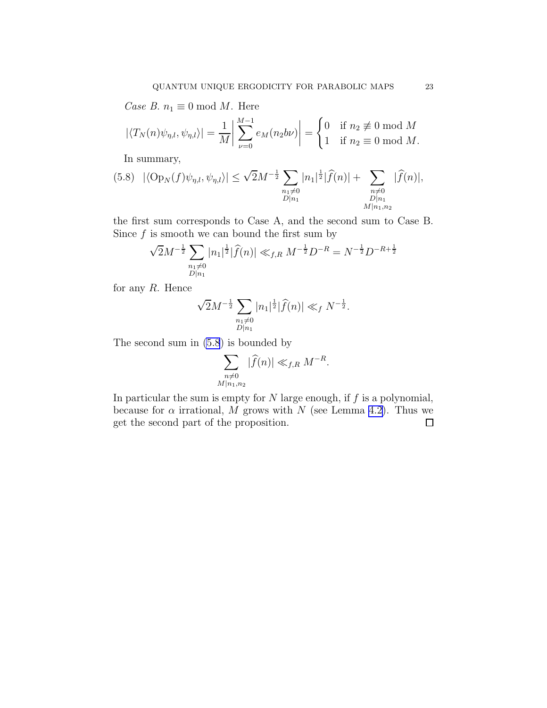*Case B.*  $n_1 \equiv 0 \mod M$ . Here

$$
|\langle T_N(n)\psi_{\eta,l}, \psi_{\eta,l}\rangle| = \frac{1}{M} \left| \sum_{\nu=0}^{M-1} e_M(n_2 b \nu) \right| = \begin{cases} 0 & \text{if } n_2 \not\equiv 0 \text{ mod } M \\ 1 & \text{if } n_2 \equiv 0 \text{ mod } M. \end{cases}
$$

In summary,

$$
(5.8) \quad |\langle \text{Op}_N(f)\psi_{\eta,l},\psi_{\eta,l}\rangle| \le \sqrt{2}M^{-\frac{1}{2}}\sum_{\substack{n_1 \neq 0 \\ D|n_1}}|n_1|^{\frac{1}{2}}|\widehat{f}(n)| + \sum_{\substack{n \neq 0 \\ D|n_1 \\ M|n_1,n_2}}|\widehat{f}(n)|,
$$

the first sum corresponds to Case A, and the second sum to Case B. Since  $f$  is smooth we can bound the first sum by

$$
\sqrt{2}M^{-\frac{1}{2}}\sum_{\substack{n_1\neq 0\\D|n_1}}|n_1|^{\frac{1}{2}}|\widehat{f}(n)|\ll_{f,R} M^{-\frac{1}{2}}D^{-R}=N^{-\frac{1}{2}}D^{-R+\frac{1}{2}}
$$

for any  $R$ . Hence

$$
\sqrt{2}M^{-\frac{1}{2}}\sum_{\substack{n_1\neq 0\\ D|n_1}}|n_1|^{\frac{1}{2}}|\widehat{f}(n)|\ll_f N^{-\frac{1}{2}}.
$$

The second sum in (5.8) is bounded by

$$
\sum_{\substack{n \neq 0 \\ M|n_1, n_2}} |\widehat{f}(n)| \ll_{f,R} M^{-R}.
$$

In particular the sum is empty for  $N$  large enough, if  $f$  is a polynomial, because for  $\alpha$  irrational, M grows with N (see Lemma [4.2](#page-12-0)). Thus we get the second part of the proposition. $\Box$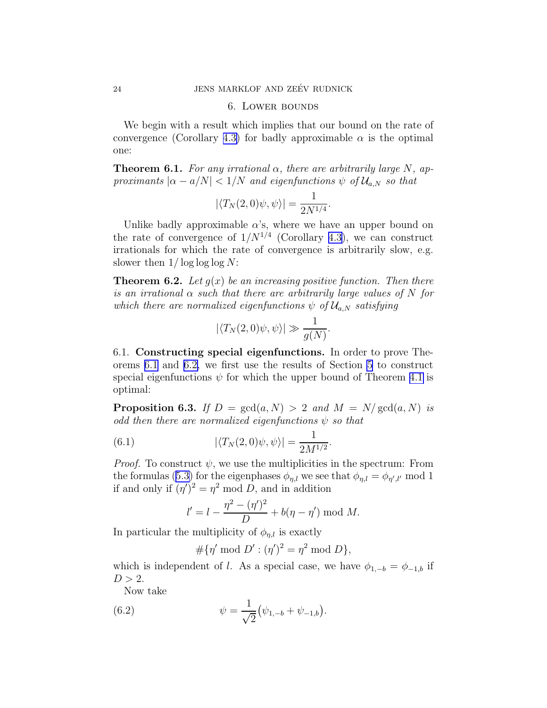### 6. Lower bounds

We begin with a result which implies that our bound on the rate of convergence (Corollary [4.3\)](#page-12-0) for badly approximable  $\alpha$  is the optimal one:

**Theorem 6.1.** For any irrational  $\alpha$ , there are arbitrarily large N, ap*proximants*  $|\alpha - a/N| < 1/N$  *and eigenfunctions*  $\psi$  *of*  $\mathcal{U}_{a,N}$  *so that* 

$$
|\langle T_N(2,0)\psi,\psi\rangle| = \frac{1}{2N^{1/4}}.
$$

Unlike badly approximable  $\alpha$ 's, where we have an upper bound on the rate of convergence of  $1/N^{1/4}$  (Corollary [4.3\)](#page-12-0), we can construct irrationals for which the rate of convergence is arbitrarily slow, e.g. slower then  $1/\log\log\log N$ :

Theorem 6.2. *Let* g(x) *be an increasing positive function. Then there is an irrational* α *such that there are arbitrarily large values of* N *for which there are normalized eigenfunctions*  $\psi$  *of*  $\mathcal{U}_{a,N}$  *satisfying* 

$$
|\langle T_N(2,0)\psi,\psi\rangle| \gg \frac{1}{g(N)}
$$

.

6.1. Constructing special eigenfunctions. In order to prove Theorems 6.1 and 6.2, we first use the results of Section [5](#page-18-0) to construct special eigenfunctions  $\psi$  for which the upper bound of Theorem [4.1](#page-12-0) is optimal:

**Proposition 6.3.** *If*  $D = \text{gcd}(a, N) > 2$  *and*  $M = N/\text{gcd}(a, N)$  *is odd then there are normalized eigenfunctions*  $\psi$  *so that* 

(6.1) 
$$
|\langle T_N(2,0)\psi,\psi\rangle| = \frac{1}{2M^{1/2}}.
$$

*Proof.* To construct  $\psi$ , we use the multiplicities in the spectrum: From theformulas ([5.3\)](#page-18-0) for the eigenphases  $\phi_{\eta,l}$  we see that  $\phi_{\eta,l} = \phi_{\eta',l'} \mod 1$ if and only if  $(\eta')^2 = \eta^2 \text{ mod } D$ , and in addition

$$
l' = l - \frac{\eta^2 - (\eta')^2}{D} + b(\eta - \eta') \bmod M.
$$

In particular the multiplicity of  $\phi_{n,l}$  is exactly

$$
\#\{\eta' \bmod D': (\eta')^2 = \eta^2 \bmod D\},\
$$

which is independent of l. As a special case, we have  $\phi_{1,-b} = \phi_{-1,b}$  if  $D > 2$ .

Now take

(6.2) 
$$
\psi = \frac{1}{\sqrt{2}} (\psi_{1,-b} + \psi_{-1,b}).
$$

<span id="page-23-0"></span>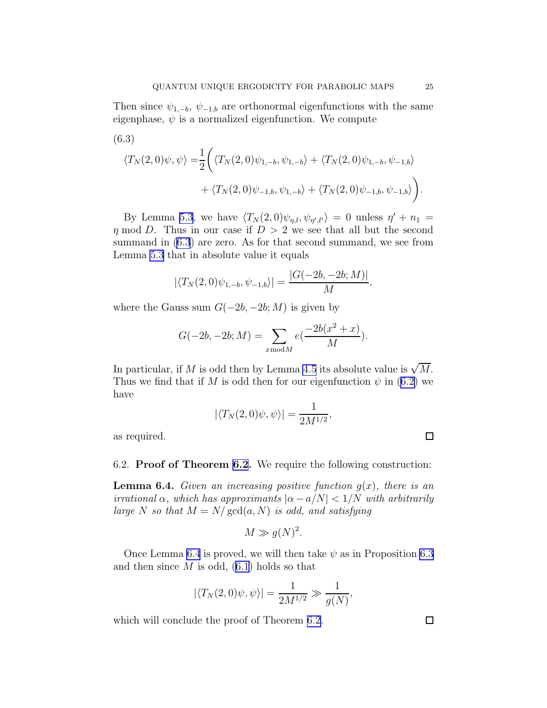<span id="page-24-0"></span>(6.3)  
\n
$$
\langle T_N(2,0)\psi,\psi\rangle = \frac{1}{2} \bigg( \langle T_N(2,0)\psi_{1,-b},\psi_{1,-b} \rangle + \langle T_N(2,0)\psi_{1,-b},\psi_{-1,b} \rangle + \langle T_N(2,0)\psi_{-1,b},\psi_{1,-b} \rangle + \langle T_N(2,0)\psi_{-1,b},\psi_{-1,b} \rangle \bigg).
$$

By Lemma [5.3](#page-20-0), we have  $\langle T_N(2,0)\psi_{\eta,l}, \psi_{\eta',l'}\rangle = 0$  unless  $\eta' + n_1 =$  $\eta \mod D$ . Thus in our case if  $D > 2$  we see that all but the second summand in (6.3) are zero. As for that second summand, we see from Lemma [5.3](#page-20-0) that in absolute value it equals

$$
|\langle T_N(2,0)\psi_{1,-b},\psi_{-1,b}\rangle|=\frac{|G(-2b,-2b;M)|}{M},
$$

where the Gauss sum  $G(-2b, -2b; M)$  is given by

$$
G(-2b, -2b; M) = \sum_{x \bmod M} e(\frac{-2b(x^2 + x)}{M}).
$$

In particular, if M is odd then by Lemma [4.5](#page-14-0) its absolute value is  $\sqrt{M}$ . Thuswe find that if M is odd then for our eigenfunction  $\psi$  in ([6.2\)](#page-23-0) we have

$$
|\langle T_N(2,0)\psi,\psi\rangle| = \frac{1}{2M^{1/2}},
$$

as required.

6.2. Proof of Theorem [6.2](#page-23-0). We require the following construction:

**Lemma 6.4.** *Given an increasing positive function*  $g(x)$ *, there is an irrational*  $\alpha$ *, which has approximants*  $|\alpha - a/N| < 1/N$  *with arbitrarily large* N so that  $M = N/\text{gcd}(a, N)$  *is odd, and satisfying* 

$$
M \gg g(N)^2.
$$

Once Lemma 6.4 is proved, we will then take  $\psi$  as in Proposition [6.3](#page-23-0) andthen since  $M$  is odd,  $(6.1)$  $(6.1)$  holds so that

$$
|\langle T_N(2,0)\psi,\psi\rangle|=\frac{1}{2M^{1/2}}\gg\frac{1}{g(N)},
$$

which will conclude the proof of Theorem [6.2.](#page-23-0)

 $\Box$ 

 $\Box$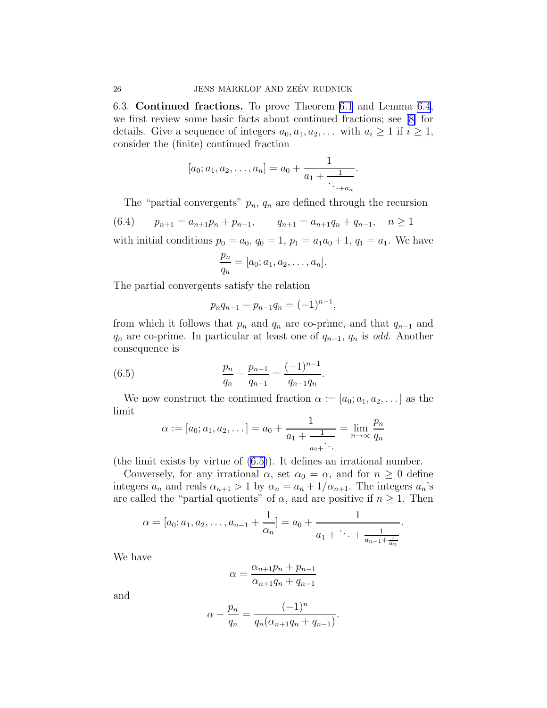6.3. Continued fractions. To prove Theorem [6.1](#page-23-0) and Lemma [6.4](#page-24-0), we first review some basic facts about continued fractions; see[[8\]](#page-28-0) for details. Give a sequence of integers  $a_0, a_1, a_2, \ldots$  with  $a_i \geq 1$  if  $i \geq 1$ , consider the (finite) continued fraction

$$
[a_0; a_1, a_2, \ldots, a_n] = a_0 + \frac{1}{a_1 + \frac{1}{\ddots + a_n}}.
$$

The "partial convergents"  $p_n$ ,  $q_n$  are defined through the recursion

$$
(6.4) \qquad p_{n+1} = a_{n+1}p_n + p_{n-1}, \qquad q_{n+1} = a_{n+1}q_n + q_{n-1}, \quad n \ge 1
$$

with initial conditions  $p_0 = a_0$ ,  $q_0 = 1$ ,  $p_1 = a_1 a_0 + 1$ ,  $q_1 = a_1$ . We have

$$
\frac{p_n}{q_n} = [a_0; a_1, a_2, \dots, a_n].
$$

The partial convergents satisfy the relation

$$
p_n q_{n-1} - p_{n-1} q_n = (-1)^{n-1},
$$

from which it follows that  $p_n$  and  $q_n$  are co-prime, and that  $q_{n-1}$  and  $q_n$  are co-prime. In particular at least one of  $q_{n-1}$ ,  $q_n$  is *odd*. Another consequence is

(6.5) 
$$
\frac{p_n}{q_n} - \frac{p_{n-1}}{q_{n-1}} = \frac{(-1)^{n-1}}{q_{n-1}q_n}.
$$

We now construct the continued fraction  $\alpha := [a_0; a_1, a_2, \dots]$  as the limit

$$
\alpha := [a_0; a_1, a_2, \dots] = a_0 + \frac{1}{a_1 + \frac{1}{a_2 + \dots}} = \lim_{n \to \infty} \frac{p_n}{q_n}
$$

(the limit exists by virtue of (6.5)). It defines an irrational number.

Conversely, for any irrational  $\alpha$ , set  $\alpha_0 = \alpha$ , and for  $n \geq 0$  define integers  $a_n$  and reals  $\alpha_{n+1} > 1$  by  $\alpha_n = a_n + 1/\alpha_{n+1}$ . The integers  $a_n$ 's are called the "partial quotients" of  $\alpha$ , and are positive if  $n \geq 1$ . Then

$$
\alpha = [a_0; a_1, a_2, \dots, a_{n-1} + \frac{1}{\alpha_n}] = a_0 + \frac{1}{a_1 + \dots + \frac{1}{a_{n-1} + \frac{1}{\alpha_n}}}.
$$

We have

$$
\alpha = \frac{\alpha_{n+1}p_n + p_{n-1}}{\alpha_{n+1}q_n + q_{n-1}}
$$

and

$$
\alpha - \frac{p_n}{q_n} = \frac{(-1)^n}{q_n(\alpha_{n+1}q_n + q_{n-1})}.
$$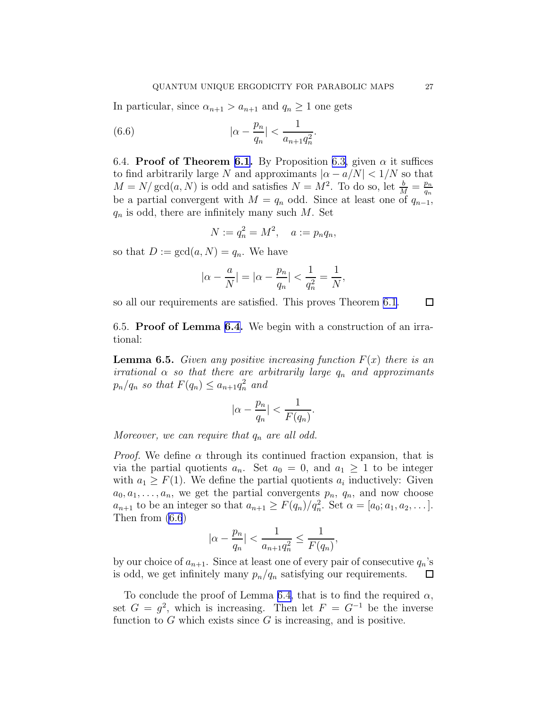<span id="page-26-0"></span>In particular, since  $\alpha_{n+1} > a_{n+1}$  and  $q_n \geq 1$  one gets

(6.6) 
$$
|\alpha - \frac{p_n}{q_n}| < \frac{1}{a_{n+1}q_n^2}.
$$

6.4. Proof of Theorem [6.1.](#page-23-0) By Proposition [6.3,](#page-23-0) given  $\alpha$  it suffices to find arbitrarily large N and approximants  $|\alpha - a/N| < 1/N$  so that  $M = N/\gcd(a, N)$  is odd and satisfies  $N = M^2$ . To do so, let  $\frac{b}{M} = \frac{p_n}{q_n}$ qn be a partial convergent with  $M = q_n$  odd. Since at least one of  $q_{n-1}$ ,  $q_n$  is odd, there are infinitely many such M. Set

$$
N := q_n^2 = M^2, \quad a := p_n q_n,
$$

so that  $D := \gcd(a, N) = q_n$ . We have

$$
|\alpha - \frac{a}{N}| = |\alpha - \frac{p_n}{q_n}| < \frac{1}{q_n^2} = \frac{1}{N},
$$

so all our requirements are satisfied. This proves Theorem [6.1](#page-23-0).

 $\Box$ 

6.5. Proof of Lemma [6.4.](#page-24-0) We begin with a construction of an irrational:

**Lemma 6.5.** *Given any positive increasing function*  $F(x)$  *there is an irrational*  $\alpha$  *so that there are arbitrarily large*  $q_n$  *and approximants*  $p_n/q_n$  so that  $F(q_n) \leq a_{n+1}q_n^2$  and

$$
|\alpha - \frac{p_n}{q_n}| < \frac{1}{F(q_n)}.
$$

*Moreover, we can require that*  $q_n$  *are all odd.* 

*Proof.* We define  $\alpha$  through its continued fraction expansion, that is via the partial quotients  $a_n$ . Set  $a_0 = 0$ , and  $a_1 \geq 1$  to be integer with  $a_1 \geq F(1)$ . We define the partial quotients  $a_i$  inductively: Given  $a_0, a_1, \ldots, a_n$ , we get the partial convergents  $p_n$ ,  $q_n$ , and now choose  $a_{n+1}$  to be an integer so that  $a_{n+1} \geq F(q_n)/q_n^2$ . Set  $\alpha = [a_0; a_1, a_2, \dots]$ . Then from (6.6)

$$
|\alpha - \frac{p_n}{q_n}| < \frac{1}{a_{n+1}q_n^2} \le \frac{1}{F(q_n)},
$$

by our choice of  $a_{n+1}$ . Since at least one of every pair of consecutive  $q_n$ 's is odd, we get infinitely many  $p_n/q_n$  satisfying our requirements.  $\Box$ 

To conclude the proof of Lemma [6.4,](#page-24-0) that is to find the required  $\alpha$ , set  $G = g^2$ , which is increasing. Then let  $F = G^{-1}$  be the inverse function to  $G$  which exists since  $G$  is increasing, and is positive.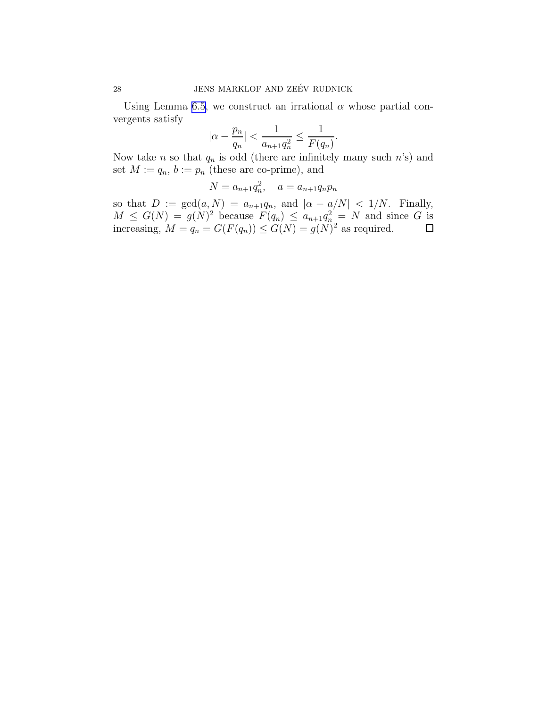Using Lemma [6.5,](#page-26-0) we construct an irrational  $\alpha$  whose partial convergents satisfy

$$
|\alpha - \frac{p_n}{q_n}| < \frac{1}{a_{n+1}q_n^2} \le \frac{1}{F(q_n)}.
$$

Now take *n* so that  $q_n$  is odd (there are infinitely many such *n*'s) and set  $M := q_n$ ,  $b := p_n$  (these are co-prime), and

$$
N = a_{n+1}q_n^2, \quad a = a_{n+1}q_n p_n
$$

so that  $D := \gcd(a, N) = a_{n+1}q_n$ , and  $|\alpha - a/N| < 1/N$ . Finally,  $M \leq G(N) = g(N)^2$  because  $F(q_n) \leq a_{n+1}q_n^2 = N$  and since G is increasing,  $M = q_n = G(F(q_n)) \le G(N) = g(N)^2$  as required.